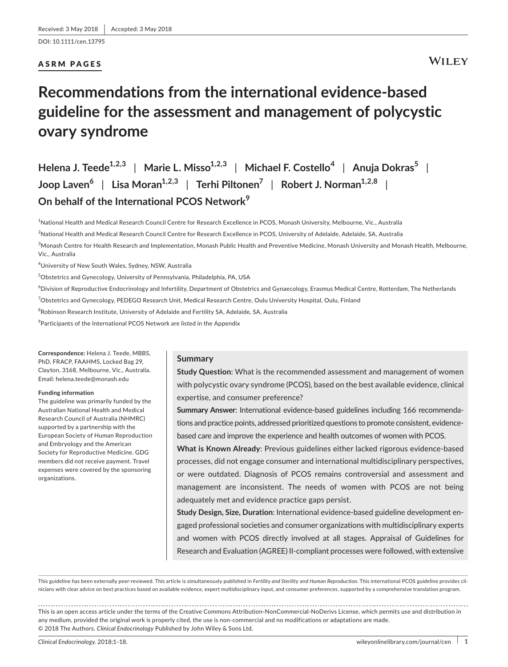DOI: 10.1111/cen.13795

## ASRM PAGES

# **Recommendations from the international evidence-based guideline for the assessment and management of polycystic ovary syndrome**

**Helena J. Teede1,2,3** | **Marie L. Misso1,2,3** | **Michael F. Costello<sup>4</sup>** | **Anuja Dokras<sup>5</sup>** | **Joop Laven<sup>6</sup>** | **Lisa Moran1,2,3** | **Terhi Piltonen<sup>7</sup>** | **Robert J. Norman1,2,8** | **On behalf of the International PCOS Network<sup>9</sup>**

1 National Health and Medical Research Council Centre for Research Excellence in PCOS, Monash University, Melbourne, Vic., Australia

2 National Health and Medical Research Council Centre for Research Excellence in PCOS, University of Adelaide, Adelaide, SA, Australia

 $^3$ Monash Centre for Health Research and Implementation, Monash Public Health and Preventive Medicine, Monash University and Monash Health, Melbourne, Vic., Australia

4 University of New South Wales, Sydney, NSW, Australia

5 Obstetrics and Gynecology, University of Pennsylvania, Philadelphia, PA, USA

 $^6$ Division of Reproductive Endocrinology and Infertility, Department of Obstetrics and Gynaecology, Erasmus Medical Centre, Rotterdam, The Netherlands

<sup>7</sup>Obstetrics and Gynecology, PEDEGO Research Unit, Medical Research Centre, Oulu University Hospital, Oulu, Finland

 $^8$ Robinson Research Institute, University of Adelaide and Fertility SA, Adelaide, SA, Australia

 $^9$ Participants of the International PCOS Network are listed in the Appendix

**Correspondence:** Helena J. Teede, MBBS, PhD, FRACP, FAAHMS, Locked Bag 29, Clayton, 3168, Melbourne, Vic., Australia. Email: [helena.teede@monash.edu](mailto:helena.teede@monash.edu)

#### **Funding information**

The guideline was primarily funded by the Australian National Health and Medical Research Council of Australia (NHMRC) supported by a partnership with the European Society of Human Reproduction and Embryology and the American Society for Reproductive Medicine. GDG members did not receive payment. Travel expenses were covered by the sponsoring organizations.

#### **Summary**

**Study Question**: What is the recommended assessment and management of women with polycystic ovary syndrome (PCOS), based on the best available evidence, clinical expertise, and consumer preference?

**Summary Answer**: International evidence-based guidelines including 166 recommendations and practice points, addressed prioritized questions to promote consistent, evidencebased care and improve the experience and health outcomes of women with PCOS.

**What is Known Already**: Previous guidelines either lacked rigorous evidence-based processes, did not engage consumer and international multidisciplinary perspectives, or were outdated. Diagnosis of PCOS remains controversial and assessment and management are inconsistent. The needs of women with PCOS are not being adequately met and evidence practice gaps persist.

**Study Design, Size, Duration**: International evidence-based guideline development engaged professional societies and consumer organizations with multidisciplinary experts and women with PCOS directly involved at all stages. Appraisal of Guidelines for Research and Evaluation (AGREE) II-compliant processes were followed, with extensive

This guideline has been externally peer-reviewed. This article is simultaneously published in *Fertility and Sterility* and *Human Reproduction*. This international PCOS guideline provides clinicians with clear advice on best practices based on available evidence, expert multidisciplinary input, and consumer preferences, supported by a comprehensive translation program.

This is an open access article under the terms of the Creative Commons [Attribution-NonCommercial-NoDerivs](http://creativecommons.org/licenses/by-nc-nd/4.0/) License, which permits use and distribution in any medium, provided the original work is properly cited, the use is non-commercial and no modifications or adaptations are made. © 2018 The Authors. *Clinical Endocrinology* Published by John Wiley & Sons Ltd.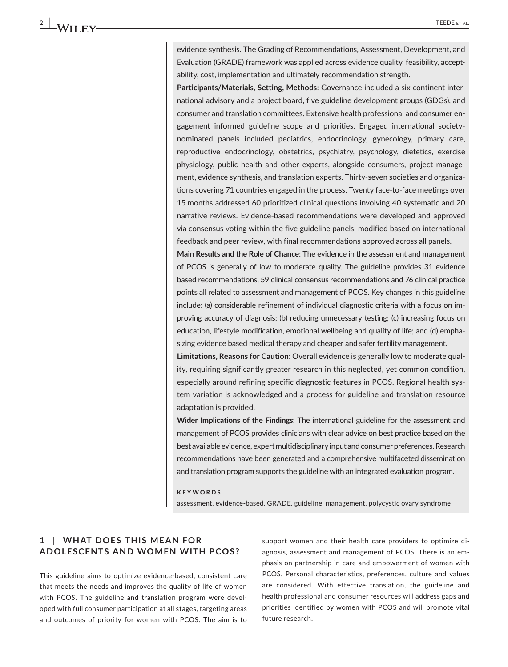evidence synthesis. The Grading of Recommendations, Assessment, Development, and Evaluation (GRADE) framework was applied across evidence quality, feasibility, acceptability, cost, implementation and ultimately recommendation strength.

**Participants/Materials, Setting, Methods**: Governance included a six continent international advisory and a project board, five guideline development groups (GDGs), and consumer and translation committees. Extensive health professional and consumer engagement informed guideline scope and priorities. Engaged international societynominated panels included pediatrics, endocrinology, gynecology, primary care, reproductive endocrinology, obstetrics, psychiatry, psychology, dietetics, exercise physiology, public health and other experts, alongside consumers, project management, evidence synthesis, and translation experts. Thirty-seven societies and organizations covering 71 countries engaged in the process. Twenty face-to-face meetings over 15 months addressed 60 prioritized clinical questions involving 40 systematic and 20 narrative reviews. Evidence-based recommendations were developed and approved via consensus voting within the five guideline panels, modified based on international feedback and peer review, with final recommendations approved across all panels.

**Main Results and the Role of Chance**: The evidence in the assessment and management of PCOS is generally of low to moderate quality. The guideline provides 31 evidence based recommendations, 59 clinical consensus recommendations and 76 clinical practice points all related to assessment and management of PCOS. Key changes in this guideline include: (a) considerable refinement of individual diagnostic criteria with a focus on improving accuracy of diagnosis; (b) reducing unnecessary testing; (c) increasing focus on education, lifestyle modification, emotional wellbeing and quality of life; and (d) emphasizing evidence based medical therapy and cheaper and safer fertility management.

**Limitations, Reasons for Caution**: Overall evidence is generally low to moderate quality, requiring significantly greater research in this neglected, yet common condition, especially around refining specific diagnostic features in PCOS. Regional health system variation is acknowledged and a process for guideline and translation resource adaptation is provided.

**Wider Implications of the Findings**: The international guideline for the assessment and management of PCOS provides clinicians with clear advice on best practice based on the best available evidence, expert multidisciplinary input and consumer preferences. Research recommendations have been generated and a comprehensive multifaceted dissemination and translation program supports the guideline with an integrated evaluation program.

#### **KEYWORDS**

assessment, evidence-based, GRADE, guideline, management, polycystic ovary syndrome

## **1** | **WHAT DOES THIS ME AN FOR ADOLESCENTS AND WOMEN WITH PCOS?**

This guideline aims to optimize evidence-based, consistent care that meets the needs and improves the quality of life of women with PCOS. The guideline and translation program were developed with full consumer participation at all stages, targeting areas and outcomes of priority for women with PCOS. The aim is to

support women and their health care providers to optimize diagnosis, assessment and management of PCOS. There is an emphasis on partnership in care and empowerment of women with PCOS. Personal characteristics, preferences, culture and values are considered. With effective translation, the guideline and health professional and consumer resources will address gaps and priorities identified by women with PCOS and will promote vital future research.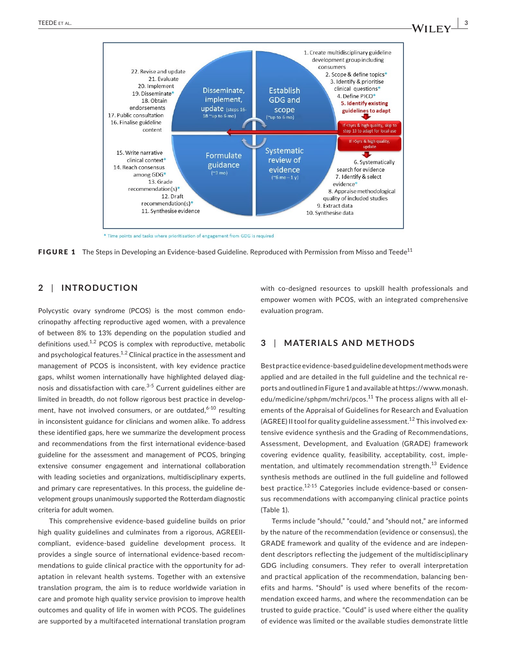

\* Time points and tasks where prioritisation of engagement from GDG is required



### **2** | **INTRODUCTION**

Polycystic ovary syndrome (PCOS) is the most common endocrinopathy affecting reproductive aged women, with a prevalence of between 8% to 13% depending on the population studied and definitions used. $1,2$  PCOS is complex with reproductive, metabolic and psychological features.<sup>1,2</sup> Clinical practice in the assessment and management of PCOS is inconsistent, with key evidence practice gaps, whilst women internationally have highlighted delayed diagnosis and dissatisfaction with care. $3-5$  Current guidelines either are limited in breadth, do not follow rigorous best practice in development, have not involved consumers, or are outdated,  $6-10$  resulting in inconsistent guidance for clinicians and women alike. To address these identified gaps, here we summarize the development process and recommendations from the first international evidence-based guideline for the assessment and management of PCOS, bringing extensive consumer engagement and international collaboration with leading societies and organizations, multidisciplinary experts, and primary care representatives. In this process, the guideline development groups unanimously supported the Rotterdam diagnostic criteria for adult women.

This comprehensive evidence-based guideline builds on prior high quality guidelines and culminates from a rigorous, AGREEIIcompliant, evidence-based guideline development process. It provides a single source of international evidence-based recommendations to guide clinical practice with the opportunity for adaptation in relevant health systems. Together with an extensive translation program, the aim is to reduce worldwide variation in care and promote high quality service provision to improve health outcomes and quality of life in women with PCOS. The guidelines are supported by a multifaceted international translation program

with co-designed resources to upskill health professionals and empower women with PCOS, with an integrated comprehensive evaluation program.

# **3** | **MATERIALS AND METHODS**

Bestpractice evidence-basedguidelinedevelopmentmethodswere applied and are detailed in the full guideline and the technical reports and outlined in Figure 1 and available at [https://www.monash.](https://www.monash.edu/medicine/sphpm/mchri/pcos) [edu/medicine/sphpm/mchri/pcos.](https://www.monash.edu/medicine/sphpm/mchri/pcos)<sup>11</sup> The process aligns with all elements of the Appraisal of Guidelines for Research and Evaluation (AGREE) II tool for quality guideline assessment.<sup>12</sup> This involved extensive evidence synthesis and the Grading of Recommendations, Assessment, Development, and Evaluation (GRADE) framework covering evidence quality, feasibility, acceptability, cost, implementation, and ultimately recommendation strength.<sup>13</sup> Evidence synthesis methods are outlined in the full guideline and followed best practice.<sup>12-15</sup> Categories include evidence-based or consensus recommendations with accompanying clinical practice points (Table 1).

Terms include "should," "could," and "should not," are informed by the nature of the recommendation (evidence or consensus), the GRADE framework and quality of the evidence and are independent descriptors reflecting the judgement of the multidisciplinary GDG including consumers. They refer to overall interpretation and practical application of the recommendation, balancing benefits and harms. "Should" is used where benefits of the recommendation exceed harms, and where the recommendation can be trusted to guide practice. "Could" is used where either the quality of evidence was limited or the available studies demonstrate little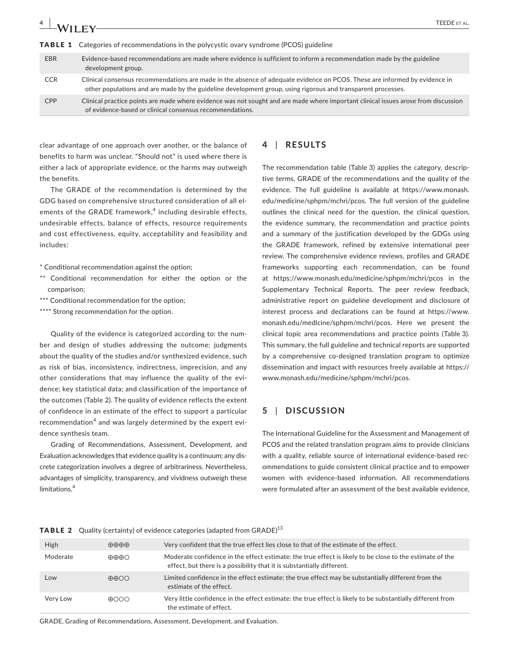# **4 a 1** *A/II* **<b>F FEEDE** et al.

**TABLE 1** Categories of recommendations in the polycystic ovary syndrome (PCOS) guideline

| <b>EBR</b> | Evidence-based recommendations are made where evidence is sufficient to inform a recommendation made by the guideline<br>development group.                                                                                                |
|------------|--------------------------------------------------------------------------------------------------------------------------------------------------------------------------------------------------------------------------------------------|
| <b>CCR</b> | Clinical consensus recommendations are made in the absence of adequate evidence on PCOS. These are informed by evidence in<br>other populations and are made by the guideline development group, using rigorous and transparent processes. |
| <b>CPP</b> | Clinical practice points are made where evidence was not sought and are made where important clinical issues arose from discussion<br>of evidence-based or clinical consensus recommendations.                                             |

clear advantage of one approach over another, or the balance of benefits to harm was unclear. "Should not" is used where there is either a lack of appropriate evidence, or the harms may outweigh the benefits.

The GRADE of the recommendation is determined by the GDG based on comprehensive structured consideration of all elements of the GRADE framework, $4$  including desirable effects, undesirable effects, balance of effects, resource requirements and cost effectiveness, equity, acceptability and feasibility and includes:

\* Conditional recommendation against the option;

- \*\* Conditional recommendation for either the option or the comparison;
- \*\*\* Conditional recommendation for the option;
- \*\*\*\* Strong recommendation for the option.

Quality of the evidence is categorized according to: the number and design of studies addressing the outcome; judgments about the quality of the studies and/or synthesized evidence, such as risk of bias, inconsistency, indirectness, imprecision, and any other considerations that may influence the quality of the evidence; key statistical data; and classification of the importance of the outcomes (Table 2). The quality of evidence reflects the extent of confidence in an estimate of the effect to support a particular recommendation<sup>4</sup> and was largely determined by the expert evidence synthesis team.

Grading of Recommendations, Assessment, Development, and Evaluation acknowledges that evidence quality is a continuum; any discrete categorization involves a degree of arbitrariness. Nevertheless, advantages of simplicity, transparency, and vividness outweigh these limitations.<sup>4</sup>

#### **4** | **RESULTS**

The recommendation table (Table 3) applies the category, descriptive terms, GRADE of the recommendations and the quality of the evidence. The full guideline is available at [https://www.monash.](https://www.monash.edu/medicine/sphpm/mchri/pcos) [edu/medicine/sphpm/mchri/pcos.](https://www.monash.edu/medicine/sphpm/mchri/pcos) The full version of the guideline outlines the clinical need for the question, the clinical question, the evidence summary, the recommendation and practice points and a summary of the justification developed by the GDGs using the GRADE framework, refined by extensive international peer review. The comprehensive evidence reviews, profiles and GRADE frameworks supporting each recommendation, can be found at <https://www.monash.edu/medicine/sphpm/mchri/pcos> in the Supplementary Technical Reports. The peer review feedback, administrative report on guideline development and disclosure of interest process and declarations can be found at [https://www.](https://www.monash.edu/medicine/sphpm/mchri/pcos) [monash.edu/medicine/sphpm/mchri/pcos.](https://www.monash.edu/medicine/sphpm/mchri/pcos) Here we present the clinical topic area recommendations and practice points (Table 3). This summary, the full guideline and technical reports are supported by a comprehensive co-designed translation program to optimize dissemination and impact with resources freely available at [https://](https://www.monash.edu/medicine/sphpm/mchri/pcos) [www.monash.edu/medicine/sphpm/mchri/pcos](https://www.monash.edu/medicine/sphpm/mchri/pcos).

## **5** | **DISCUSSION**

The International Guideline for the Assessment and Management of PCOS and the related translation program aims to provide clinicians with a quality, reliable source of international evidence-based recommendations to guide consistent clinical practice and to empower women with evidence-based information. All recommendations were formulated after an assessment of the best available evidence,

|  |  | <b>TABLE 2</b> Quality (certainty) of evidence categories (adapted from GRADE) $^{13}$ |  |  |
|--|--|----------------------------------------------------------------------------------------|--|--|
|--|--|----------------------------------------------------------------------------------------|--|--|

| High     | $\oplus \oplus \oplus$       | Very confident that the true effect lies close to that of the estimate of the effect.                                                                                              |
|----------|------------------------------|------------------------------------------------------------------------------------------------------------------------------------------------------------------------------------|
| Moderate | $\oplus \oplus \oplus \odot$ | Moderate confidence in the effect estimate: the true effect is likely to be close to the estimate of the<br>effect, but there is a possibility that it is substantially different. |
| Low      | $\oplus \oplus \oplus \odot$ | Limited confidence in the effect estimate: the true effect may be substantially different from the<br>estimate of the effect.                                                      |
| Very Low | $\bigoplus$                  | Very little confidence in the effect estimate: the true effect is likely to be substantially different from<br>the estimate of effect.                                             |
|          |                              |                                                                                                                                                                                    |

GRADE, Grading of Recommendations, Assessment, Development, and Evaluation.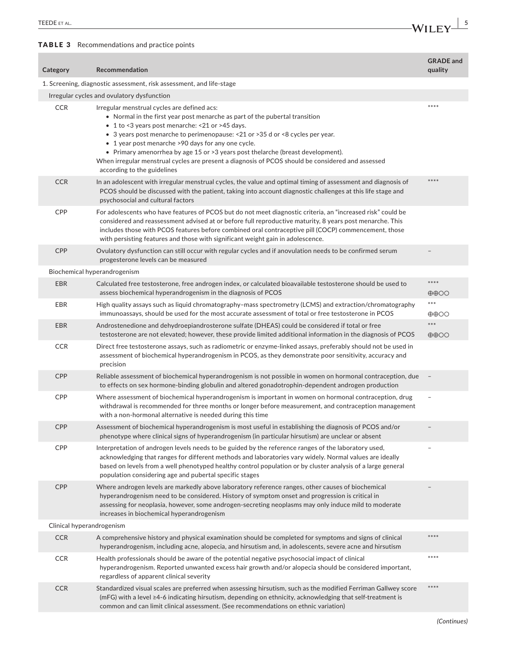TABLE 3 Recommendations and practice points

**Category Recommendation GRADE and quality** 1. Screening, diagnostic assessment, risk assessment, and life-stage Irregular cycles and ovulatory dysfunction CCR Irregular menstrual cycles are defined acs: • Normal in the first year post menarche as part of the pubertal transition • 1 to <3 years post menarche: <21 or >45 days. • 3 years post menarche to perimenopause: <21 or >35 d or <8 cycles per year. • 1 year post menarche >90 days for any one cycle. • Primary amenorrhea by age 15 or >3 years post thelarche (breast development). When irregular menstrual cycles are present a diagnosis of PCOS should be considered and assessed according to the guidelines \*\*\*\* CCR In an adolescent with irregular menstrual cycles, the value and optimal timing of assessment and diagnosis of PCOS should be discussed with the patient, taking into account diagnostic challenges at this life stage and psychosocial and cultural factors \*\*\*\* CPP For adolescents who have features of PCOS but do not meet diagnostic criteria, an "increased risk" could be considered and reassessment advised at or before full reproductive maturity, 8 years post menarche. This includes those with PCOS features before combined oral contraceptive pill (COCP) commencement, those with persisting features and those with significant weight gain in adolescence. CPP Ovulatory dysfunction can still occur with regular cycles and if anovulation needs to be confirmed serum progesterone levels can be measured – Biochemical hyperandrogenism EBR Calculated free testosterone, free androgen index, or calculated bioavailable testosterone should be used to assess biochemical hyperandrogenism in the diagnosis of PCOS \*\*\*\* ⊕⊕○○ EBR High quality assays such as liquid chromatography–mass spectrometry (LCMS) and extraction/chromatography immunoassays, should be used for the most accurate assessment of total or free testosterone in PCOS \*\*\* ⊕⊕○○ EBR Androstenedione and dehydroepiandrosterone sulfate (DHEAS) could be considered if total or free testosterone are not elevated; however, these provide limited additional information in the diagnosis of PCOS \*\*\* ⊕⊕○○ CCR Direct free testosterone assays, such as radiometric or enzyme-linked assays, preferably should not be used in assessment of biochemical hyperandrogenism in PCOS, as they demonstrate poor sensitivity, accuracy and precision CPP Reliable assessment of biochemical hyperandrogenism is not possible in women on hormonal contraception, due to effects on sex hormone-binding globulin and altered gonadotrophin-dependent androgen production – CPP Where assessment of biochemical hyperandrogenism is important in women on hormonal contraception, drug withdrawal is recommended for three months or longer before measurement, and contraception management with a non-hormonal alternative is needed during this time – CPP Assessment of biochemical hyperandrogenism is most useful in establishing the diagnosis of PCOS and/or phenotype where clinical signs of hyperandrogenism (in particular hirsutism) are unclear or absent – CPP Interpretation of androgen levels needs to be guided by the reference ranges of the laboratory used, acknowledging that ranges for different methods and laboratories vary widely. Normal values are ideally based on levels from a well phenotyped healthy control population or by cluster analysis of a large general population considering age and pubertal specific stages – CPP Where androgen levels are markedly above laboratory reference ranges, other causes of biochemical hyperandrogenism need to be considered. History of symptom onset and progression is critical in assessing for neoplasia, however, some androgen-secreting neoplasms may only induce mild to moderate increases in biochemical hyperandrogenism – Clinical hyperandrogenism CCR A comprehensive history and physical examination should be completed for symptoms and signs of clinical hyperandrogenism, including acne, alopecia, and hirsutism and, in adolescents, severe acne and hirsutism \*\*\*\* CCR Health professionals should be aware of the potential negative psychosocial impact of clinical hyperandrogenism. Reported unwanted excess hair growth and/or alopecia should be considered important, regardless of apparent clinical severity \*\*\*\* CCR Standardized visual scales are preferred when assessing hirsutism, such as the modified Ferriman Gallwey score (mFG) with a level ≥4-6 indicating hirsutism, depending on ethnicity, acknowledging that self-treatment is common and can limit clinical assessment. (See recommendations on ethnic variation) \*\*\*\*

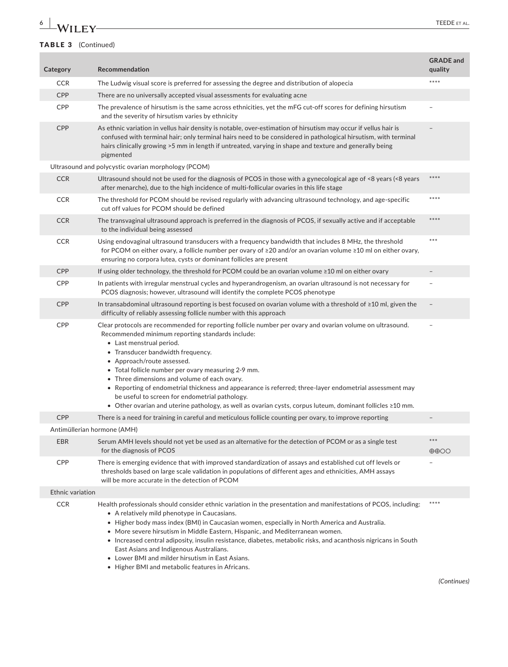# **6 WILEY TEEDE** ET AL.

### TABLE 3 (Continued)

| Category         | Recommendation                                                                                                                                                                                                                                                                                                                                                                                                                                                                                                                                                                                                                                       | <b>GRADE</b> and<br>quality          |
|------------------|------------------------------------------------------------------------------------------------------------------------------------------------------------------------------------------------------------------------------------------------------------------------------------------------------------------------------------------------------------------------------------------------------------------------------------------------------------------------------------------------------------------------------------------------------------------------------------------------------------------------------------------------------|--------------------------------------|
| <b>CCR</b>       | The Ludwig visual score is preferred for assessing the degree and distribution of alopecia                                                                                                                                                                                                                                                                                                                                                                                                                                                                                                                                                           | $****$                               |
| CPP              | There are no universally accepted visual assessments for evaluating acne                                                                                                                                                                                                                                                                                                                                                                                                                                                                                                                                                                             |                                      |
| CPP              | The prevalence of hirsutism is the same across ethnicities, yet the mFG cut-off scores for defining hirsutism<br>and the severity of hirsutism varies by ethnicity                                                                                                                                                                                                                                                                                                                                                                                                                                                                                   |                                      |
| <b>CPP</b>       | As ethnic variation in vellus hair density is notable, over-estimation of hirsutism may occur if vellus hair is<br>confused with terminal hair; only terminal hairs need to be considered in pathological hirsutism, with terminal<br>hairs clinically growing >5 mm in length if untreated, varying in shape and texture and generally being<br>pigmented                                                                                                                                                                                                                                                                                           |                                      |
|                  | Ultrasound and polycystic ovarian morphology (PCOM)                                                                                                                                                                                                                                                                                                                                                                                                                                                                                                                                                                                                  |                                      |
| <b>CCR</b>       | Ultrasound should not be used for the diagnosis of PCOS in those with a gynecological age of <8 years (<8 years<br>after menarche), due to the high incidence of multi-follicular ovaries in this life stage                                                                                                                                                                                                                                                                                                                                                                                                                                         | ****                                 |
| <b>CCR</b>       | The threshold for PCOM should be revised regularly with advancing ultrasound technology, and age-specific<br>cut off values for PCOM should be defined                                                                                                                                                                                                                                                                                                                                                                                                                                                                                               | ****                                 |
| <b>CCR</b>       | The transvaginal ultrasound approach is preferred in the diagnosis of PCOS, if sexually active and if acceptable<br>to the individual being assessed                                                                                                                                                                                                                                                                                                                                                                                                                                                                                                 | ****                                 |
| <b>CCR</b>       | Using endovaginal ultrasound transducers with a frequency bandwidth that includes 8 MHz, the threshold<br>for PCOM on either ovary, a follicle number per ovary of ≥20 and/or an ovarian volume ≥10 ml on either ovary,<br>ensuring no corpora lutea, cysts or dominant follicles are present                                                                                                                                                                                                                                                                                                                                                        | $***$                                |
| CPP              | If using older technology, the threshold for PCOM could be an ovarian volume $\geq 10$ ml on either ovary                                                                                                                                                                                                                                                                                                                                                                                                                                                                                                                                            |                                      |
| CPP              | In patients with irregular menstrual cycles and hyperandrogenism, an ovarian ultrasound is not necessary for<br>PCOS diagnosis; however, ultrasound will identify the complete PCOS phenotype                                                                                                                                                                                                                                                                                                                                                                                                                                                        |                                      |
| CPP              | In transabdominal ultrasound reporting is best focused on ovarian volume with a threshold of ≥10 ml, given the<br>difficulty of reliably assessing follicle number with this approach                                                                                                                                                                                                                                                                                                                                                                                                                                                                |                                      |
| <b>CPP</b>       | Clear protocols are recommended for reporting follicle number per ovary and ovarian volume on ultrasound.<br>Recommended minimum reporting standards include:<br>• Last menstrual period.<br>• Transducer bandwidth frequency.<br>• Approach/route assessed.<br>• Total follicle number per ovary measuring 2-9 mm.<br>• Three dimensions and volume of each ovary.<br>• Reporting of endometrial thickness and appearance is referred; three-layer endometrial assessment may<br>be useful to screen for endometrial pathology.<br>• Other ovarian and uterine pathology, as well as ovarian cysts, corpus luteum, dominant follicles $\geq 10$ mm. |                                      |
| <b>CPP</b>       | There is a need for training in careful and meticulous follicle counting per ovary, to improve reporting                                                                                                                                                                                                                                                                                                                                                                                                                                                                                                                                             |                                      |
|                  | Antimüllerian hormone (AMH)                                                                                                                                                                                                                                                                                                                                                                                                                                                                                                                                                                                                                          |                                      |
| <b>EBR</b>       | Serum AMH levels should not yet be used as an alternative for the detection of PCOM or as a single test<br>for the diagnosis of PCOS                                                                                                                                                                                                                                                                                                                                                                                                                                                                                                                 | $***$<br>$\oplus \oplus \odot \odot$ |
| CPP              | There is emerging evidence that with improved standardization of assays and established cut off levels or<br>thresholds based on large scale validation in populations of different ages and ethnicities, AMH assays<br>will be more accurate in the detection of PCOM                                                                                                                                                                                                                                                                                                                                                                               |                                      |
| Ethnic variation |                                                                                                                                                                                                                                                                                                                                                                                                                                                                                                                                                                                                                                                      |                                      |
| <b>CCR</b>       | Health professionals should consider ethnic variation in the presentation and manifestations of PCOS, including:<br>• A relatively mild phenotype in Caucasians.<br>• Higher body mass index (BMI) in Caucasian women, especially in North America and Australia.<br>• More severe hirsutism in Middle Eastern, Hispanic, and Mediterranean women.<br>• Increased central adiposity, insulin resistance, diabetes, metabolic risks, and acanthosis nigricans in South<br>East Asians and Indigenous Australians.<br>• Lower BMI and milder hirsutism in East Asians.<br>• Higher BMI and metabolic features in Africans.                             | ****                                 |

*(Continues)*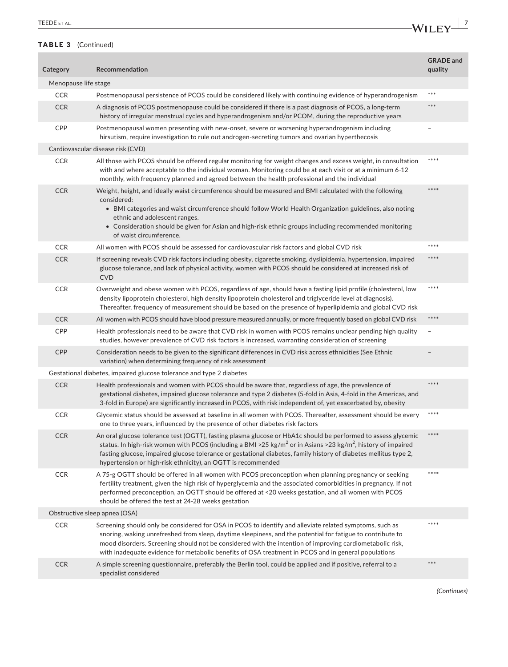| Category             | <b>Recommendation</b>                                                                                                                                                                                                                                                                                                                                                                                                                     | <b>GRADE</b> and<br>quality |
|----------------------|-------------------------------------------------------------------------------------------------------------------------------------------------------------------------------------------------------------------------------------------------------------------------------------------------------------------------------------------------------------------------------------------------------------------------------------------|-----------------------------|
| Menopause life stage |                                                                                                                                                                                                                                                                                                                                                                                                                                           |                             |
| <b>CCR</b>           | Postmenopausal persistence of PCOS could be considered likely with continuing evidence of hyperandrogenism                                                                                                                                                                                                                                                                                                                                | ***                         |
| <b>CCR</b>           | A diagnosis of PCOS postmenopause could be considered if there is a past diagnosis of PCOS, a long-term<br>history of irregular menstrual cycles and hyperandrogenism and/or PCOM, during the reproductive years                                                                                                                                                                                                                          | ***                         |
| <b>CPP</b>           | Postmenopausal women presenting with new-onset, severe or worsening hyperandrogenism including<br>hirsutism, require investigation to rule out androgen-secreting tumors and ovarian hyperthecosis                                                                                                                                                                                                                                        | $\overline{\phantom{a}}$    |
|                      | Cardiovascular disease risk (CVD)                                                                                                                                                                                                                                                                                                                                                                                                         |                             |
| <b>CCR</b>           | All those with PCOS should be offered regular monitoring for weight changes and excess weight, in consultation<br>with and where acceptable to the individual woman. Monitoring could be at each visit or at a minimum 6-12<br>monthly, with frequency planned and agreed between the health professional and the individual                                                                                                              | ****                        |
| <b>CCR</b>           | Weight, height, and ideally waist circumference should be measured and BMI calculated with the following<br>considered:<br>• BMI categories and waist circumference should follow World Health Organization guidelines, also noting<br>ethnic and adolescent ranges.<br>• Consideration should be given for Asian and high-risk ethnic groups including recommended monitoring<br>of waist circumference.                                 | ****                        |
| <b>CCR</b>           | All women with PCOS should be assessed for cardiovascular risk factors and global CVD risk                                                                                                                                                                                                                                                                                                                                                | ****                        |
| <b>CCR</b>           | If screening reveals CVD risk factors including obesity, cigarette smoking, dyslipidemia, hypertension, impaired<br>glucose tolerance, and lack of physical activity, women with PCOS should be considered at increased risk of<br><b>CVD</b>                                                                                                                                                                                             | ****                        |
| <b>CCR</b>           | Overweight and obese women with PCOS, regardless of age, should have a fasting lipid profile (cholesterol, low<br>density lipoprotein cholesterol, high density lipoprotein cholesterol and triglyceride level at diagnosis).<br>Thereafter, frequency of measurement should be based on the presence of hyperlipidemia and global CVD risk                                                                                               | ****                        |
| <b>CCR</b>           | All women with PCOS should have blood pressure measured annually, or more frequently based on global CVD risk                                                                                                                                                                                                                                                                                                                             | $****$                      |
| CPP                  | Health professionals need to be aware that CVD risk in women with PCOS remains unclear pending high quality<br>studies, however prevalence of CVD risk factors is increased, warranting consideration of screening                                                                                                                                                                                                                        |                             |
| <b>CPP</b>           | Consideration needs to be given to the significant differences in CVD risk across ethnicities (See Ethnic<br>variation) when determining frequency of risk assessment                                                                                                                                                                                                                                                                     |                             |
|                      | Gestational diabetes, impaired glucose tolerance and type 2 diabetes                                                                                                                                                                                                                                                                                                                                                                      |                             |
| <b>CCR</b>           | Health professionals and women with PCOS should be aware that, regardless of age, the prevalence of<br>gestational diabetes, impaired glucose tolerance and type 2 diabetes (5-fold in Asia, 4-fold in the Americas, and<br>3-fold in Europe) are significantly increased in PCOS, with risk independent of, yet exacerbated by, obesity                                                                                                  | ****                        |
| <b>CCR</b>           | Glycemic status should be assessed at baseline in all women with PCOS. Thereafter, assessment should be every<br>one to three years, influenced by the presence of other diabetes risk factors                                                                                                                                                                                                                                            | ****                        |
| <b>CCR</b>           | An oral glucose tolerance test (OGTT), fasting plasma glucose or HbA1c should be performed to assess glycemic<br>status. In high-risk women with PCOS (including a BMI >25 kg/m <sup>2</sup> or in Asians >23 kg/m <sup>2</sup> , history of impaired<br>fasting glucose, impaired glucose tolerance or gestational diabetes, family history of diabetes mellitus type 2,<br>hypertension or high-risk ethnicity), an OGTT is recommended | ****                        |
| <b>CCR</b>           | A 75-g OGTT should be offered in all women with PCOS preconception when planning pregnancy or seeking<br>fertility treatment, given the high risk of hyperglycemia and the associated comorbidities in pregnancy. If not<br>performed preconception, an OGTT should be offered at <20 weeks gestation, and all women with PCOS<br>should be offered the test at 24-28 weeks gestation                                                     | ****                        |
|                      | Obstructive sleep apnea (OSA)                                                                                                                                                                                                                                                                                                                                                                                                             |                             |
| <b>CCR</b>           | Screening should only be considered for OSA in PCOS to identify and alleviate related symptoms, such as<br>snoring, waking unrefreshed from sleep, daytime sleepiness, and the potential for fatigue to contribute to<br>mood disorders. Screening should not be considered with the intention of improving cardiometabolic risk,<br>with inadequate evidence for metabolic benefits of OSA treatment in PCOS and in general populations  | ****                        |
| <b>CCR</b>           | A simple screening questionnaire, preferably the Berlin tool, could be applied and if positive, referral to a<br>specialist considered                                                                                                                                                                                                                                                                                                    | ***                         |

*(Continues)*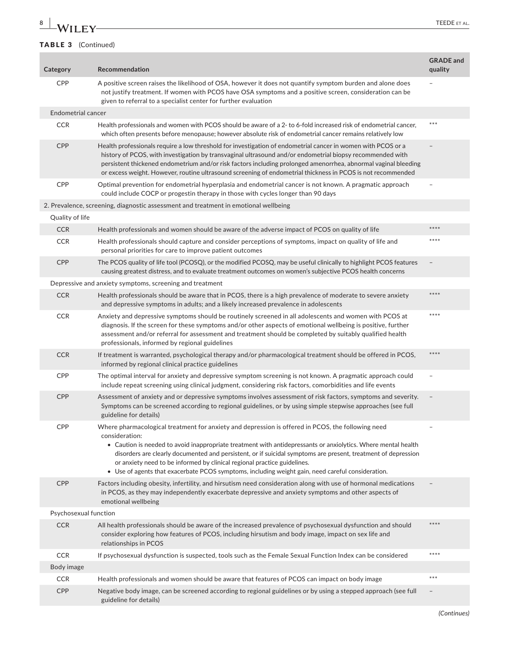# **8 WILEY** TEEDE ET AL.

|                 | <b>IADLE J</b> (COIRDUCA)                                                                                                                                                                                                                                                                                                                                                                                                                                                                                                              |                             |
|-----------------|----------------------------------------------------------------------------------------------------------------------------------------------------------------------------------------------------------------------------------------------------------------------------------------------------------------------------------------------------------------------------------------------------------------------------------------------------------------------------------------------------------------------------------------|-----------------------------|
| Category        | Recommendation                                                                                                                                                                                                                                                                                                                                                                                                                                                                                                                         | <b>GRADE</b> and<br>quality |
| <b>CPP</b>      | A positive screen raises the likelihood of OSA, however it does not quantify symptom burden and alone does<br>not justify treatment. If women with PCOS have OSA symptoms and a positive screen, consideration can be<br>given to referral to a specialist center for further evaluation                                                                                                                                                                                                                                               |                             |
|                 | Endometrial cancer                                                                                                                                                                                                                                                                                                                                                                                                                                                                                                                     |                             |
| <b>CCR</b>      | Health professionals and women with PCOS should be aware of a 2- to 6-fold increased risk of endometrial cancer,<br>which often presents before menopause; however absolute risk of endometrial cancer remains relatively low                                                                                                                                                                                                                                                                                                          | ***                         |
| <b>CPP</b>      | Health professionals require a low threshold for investigation of endometrial cancer in women with PCOS or a<br>history of PCOS, with investigation by transvaginal ultrasound and/or endometrial biopsy recommended with<br>persistent thickened endometrium and/or risk factors including prolonged amenorrhea, abnormal vaginal bleeding<br>or excess weight. However, routine ultrasound screening of endometrial thickness in PCOS is not recommended                                                                             |                             |
| <b>CPP</b>      | Optimal prevention for endometrial hyperplasia and endometrial cancer is not known. A pragmatic approach<br>could include COCP or progestin therapy in those with cycles longer than 90 days                                                                                                                                                                                                                                                                                                                                           |                             |
|                 | 2. Prevalence, screening, diagnostic assessment and treatment in emotional wellbeing                                                                                                                                                                                                                                                                                                                                                                                                                                                   |                             |
| Quality of life |                                                                                                                                                                                                                                                                                                                                                                                                                                                                                                                                        |                             |
| <b>CCR</b>      | Health professionals and women should be aware of the adverse impact of PCOS on quality of life                                                                                                                                                                                                                                                                                                                                                                                                                                        | ****                        |
| <b>CCR</b>      | Health professionals should capture and consider perceptions of symptoms, impact on quality of life and<br>personal priorities for care to improve patient outcomes                                                                                                                                                                                                                                                                                                                                                                    | ****                        |
| <b>CPP</b>      | The PCOS quality of life tool (PCOSQ), or the modified PCOSQ, may be useful clinically to highlight PCOS features<br>causing greatest distress, and to evaluate treatment outcomes on women's subjective PCOS health concerns                                                                                                                                                                                                                                                                                                          |                             |
|                 | Depressive and anxiety symptoms, screening and treatment                                                                                                                                                                                                                                                                                                                                                                                                                                                                               |                             |
| <b>CCR</b>      | Health professionals should be aware that in PCOS, there is a high prevalence of moderate to severe anxiety<br>and depressive symptoms in adults; and a likely increased prevalence in adolescents                                                                                                                                                                                                                                                                                                                                     | ****                        |
| <b>CCR</b>      | Anxiety and depressive symptoms should be routinely screened in all adolescents and women with PCOS at<br>diagnosis. If the screen for these symptoms and/or other aspects of emotional wellbeing is positive, further<br>assessment and/or referral for assessment and treatment should be completed by suitably qualified health<br>professionals, informed by regional guidelines                                                                                                                                                   | ****                        |
| <b>CCR</b>      | If treatment is warranted, psychological therapy and/or pharmacological treatment should be offered in PCOS,<br>informed by regional clinical practice guidelines                                                                                                                                                                                                                                                                                                                                                                      | ****                        |
| CPP             | The optimal interval for anxiety and depressive symptom screening is not known. A pragmatic approach could<br>include repeat screening using clinical judgment, considering risk factors, comorbidities and life events                                                                                                                                                                                                                                                                                                                | $\overline{a}$              |
| <b>CPP</b>      | Assessment of anxiety and or depressive symptoms involves assessment of risk factors, symptoms and severity.<br>Symptoms can be screened according to regional guidelines, or by using simple stepwise approaches (see full<br>guideline for details)                                                                                                                                                                                                                                                                                  | $\overline{\phantom{a}}$    |
| CPP             | Where pharmacological treatment for anxiety and depression is offered in PCOS, the following need<br>consideration:<br>• Caution is needed to avoid inappropriate treatment with antidepressants or anxiolytics. Where mental health<br>disorders are clearly documented and persistent, or if suicidal symptoms are present, treatment of depression<br>or anxiety need to be informed by clinical regional practice guidelines.<br>• Use of agents that exacerbate PCOS symptoms, including weight gain, need careful consideration. |                             |
| <b>CPP</b>      | Factors including obesity, infertility, and hirsutism need consideration along with use of hormonal medications<br>in PCOS, as they may independently exacerbate depressive and anxiety symptoms and other aspects of<br>emotional wellbeing                                                                                                                                                                                                                                                                                           |                             |
|                 | Psychosexual function                                                                                                                                                                                                                                                                                                                                                                                                                                                                                                                  |                             |
| <b>CCR</b>      | All health professionals should be aware of the increased prevalence of psychosexual dysfunction and should<br>consider exploring how features of PCOS, including hirsutism and body image, impact on sex life and<br>relationships in PCOS                                                                                                                                                                                                                                                                                            | ****                        |
| <b>CCR</b>      | If psychosexual dysfunction is suspected, tools such as the Female Sexual Function Index can be considered                                                                                                                                                                                                                                                                                                                                                                                                                             | ****                        |
| Body image      |                                                                                                                                                                                                                                                                                                                                                                                                                                                                                                                                        |                             |
| <b>CCR</b>      | Health professionals and women should be aware that features of PCOS can impact on body image                                                                                                                                                                                                                                                                                                                                                                                                                                          | ***                         |
| CPP             | Negative body image, can be screened according to regional guidelines or by using a stepped approach (see full<br>guideline for details)                                                                                                                                                                                                                                                                                                                                                                                               | $\overline{\phantom{0}}$    |
|                 |                                                                                                                                                                                                                                                                                                                                                                                                                                                                                                                                        |                             |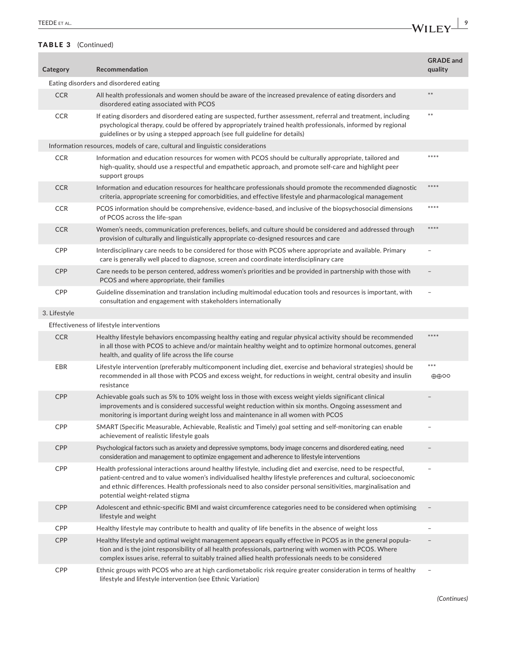×

#### TABLE 3 (Continued)

| <b>TEEDE</b><br>$\mathbf{F} = \mathbf{F} + \mathbf{F} + \mathbf{F}$<br>IEEDE EI AL. | W |
|-------------------------------------------------------------------------------------|---|
|                                                                                     | . |

| Category     | Recommendation                                                                                                                                                                                                                                                                                                                                                                       | <b>GRADE</b> and<br>quality          |  |  |
|--------------|--------------------------------------------------------------------------------------------------------------------------------------------------------------------------------------------------------------------------------------------------------------------------------------------------------------------------------------------------------------------------------------|--------------------------------------|--|--|
|              | Eating disorders and disordered eating                                                                                                                                                                                                                                                                                                                                               |                                      |  |  |
| <b>CCR</b>   | All health professionals and women should be aware of the increased prevalence of eating disorders and<br>disordered eating associated with PCOS                                                                                                                                                                                                                                     | **                                   |  |  |
| <b>CCR</b>   | If eating disorders and disordered eating are suspected, further assessment, referral and treatment, including<br>psychological therapy, could be offered by appropriately trained health professionals, informed by regional<br>guidelines or by using a stepped approach (see full guideline for details)                                                                          | $***$                                |  |  |
|              | Information resources, models of care, cultural and linguistic considerations                                                                                                                                                                                                                                                                                                        |                                      |  |  |
| <b>CCR</b>   | Information and education resources for women with PCOS should be culturally appropriate, tailored and<br>high-quality, should use a respectful and empathetic approach, and promote self-care and highlight peer<br>support groups                                                                                                                                                  | ****                                 |  |  |
| <b>CCR</b>   | Information and education resources for healthcare professionals should promote the recommended diagnostic<br>criteria, appropriate screening for comorbidities, and effective lifestyle and pharmacological management                                                                                                                                                              | $****$                               |  |  |
| <b>CCR</b>   | PCOS information should be comprehensive, evidence-based, and inclusive of the biopsychosocial dimensions<br>of PCOS across the life-span                                                                                                                                                                                                                                            | ****                                 |  |  |
| <b>CCR</b>   | Women's needs, communication preferences, beliefs, and culture should be considered and addressed through<br>provision of culturally and linguistically appropriate co-designed resources and care                                                                                                                                                                                   | $****$                               |  |  |
| <b>CPP</b>   | Interdisciplinary care needs to be considered for those with PCOS where appropriate and available. Primary<br>care is generally well placed to diagnose, screen and coordinate interdisciplinary care                                                                                                                                                                                |                                      |  |  |
| CPP          | Care needs to be person centered, address women's priorities and be provided in partnership with those with<br>PCOS and where appropriate, their families                                                                                                                                                                                                                            |                                      |  |  |
| <b>CPP</b>   | Guideline dissemination and translation including multimodal education tools and resources is important, with<br>consultation and engagement with stakeholders internationally                                                                                                                                                                                                       | $\overline{a}$                       |  |  |
| 3. Lifestyle |                                                                                                                                                                                                                                                                                                                                                                                      |                                      |  |  |
|              | Effectiveness of lifestyle interventions                                                                                                                                                                                                                                                                                                                                             |                                      |  |  |
| <b>CCR</b>   | Healthy lifestyle behaviors encompassing healthy eating and regular physical activity should be recommended<br>in all those with PCOS to achieve and/or maintain healthy weight and to optimize hormonal outcomes, general<br>health, and quality of life across the life course                                                                                                     | ****                                 |  |  |
| EBR          | Lifestyle intervention (preferably multicomponent including diet, exercise and behavioral strategies) should be<br>recommended in all those with PCOS and excess weight, for reductions in weight, central obesity and insulin<br>resistance                                                                                                                                         | $***$<br>$\oplus \oplus \circ \circ$ |  |  |
| <b>CPP</b>   | Achievable goals such as 5% to 10% weight loss in those with excess weight yields significant clinical<br>improvements and is considered successful weight reduction within six months. Ongoing assessment and<br>monitoring is important during weight loss and maintenance in all women with PCOS                                                                                  |                                      |  |  |
| <b>CPP</b>   | SMART (Specific Measurable, Achievable, Realistic and Timely) goal setting and self-monitoring can enable<br>achievement of realistic lifestyle goals                                                                                                                                                                                                                                | $\overline{\phantom{a}}$             |  |  |
| <b>CPP</b>   | Psychological factors such as anxiety and depressive symptoms, body image concerns and disordered eating, need<br>consideration and management to optimize engagement and adherence to lifestyle interventions                                                                                                                                                                       |                                      |  |  |
| CPP          | Health professional interactions around healthy lifestyle, including diet and exercise, need to be respectful,<br>patient-centred and to value women's individualised healthy lifestyle preferences and cultural, socioeconomic<br>and ethnic differences. Health professionals need to also consider personal sensitivities, marginalisation and<br>potential weight-related stigma |                                      |  |  |
| <b>CPP</b>   | Adolescent and ethnic-specific BMI and waist circumference categories need to be considered when optimising<br>lifestyle and weight                                                                                                                                                                                                                                                  |                                      |  |  |
| CPP          | Healthy lifestyle may contribute to health and quality of life benefits in the absence of weight loss                                                                                                                                                                                                                                                                                |                                      |  |  |
| <b>CPP</b>   | Healthy lifestyle and optimal weight management appears equally effective in PCOS as in the general popula-<br>tion and is the joint responsibility of all health professionals, partnering with women with PCOS. Where<br>complex issues arise, referral to suitably trained allied health professionals needs to be considered                                                     |                                      |  |  |
| <b>CPP</b>   | Ethnic groups with PCOS who are at high cardiometabolic risk require greater consideration in terms of healthy<br>lifestyle and lifestyle intervention (see Ethnic Variation)                                                                                                                                                                                                        | $\overline{\phantom{a}}$             |  |  |

*(Continues)*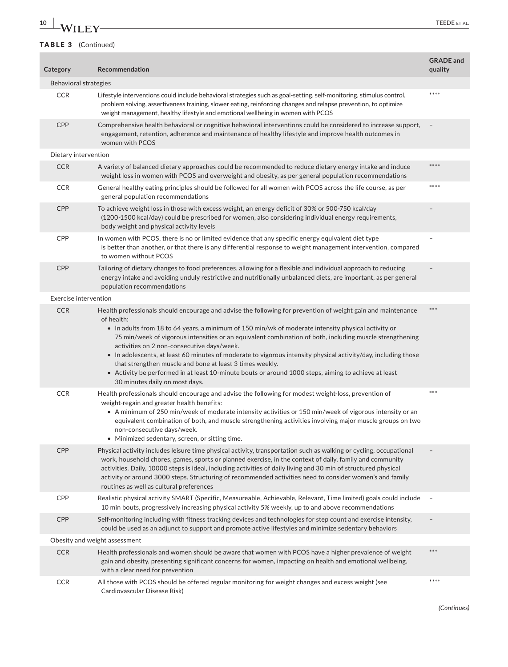# **10 WII** FY **TEEDE** ET AL.

| Category                     | Recommendation                                                                                                                                                                                                                                                                                                                                                                                                                                                                                                                                                                                                                                                                                                      | <b>GRADE</b> and<br>quality |
|------------------------------|---------------------------------------------------------------------------------------------------------------------------------------------------------------------------------------------------------------------------------------------------------------------------------------------------------------------------------------------------------------------------------------------------------------------------------------------------------------------------------------------------------------------------------------------------------------------------------------------------------------------------------------------------------------------------------------------------------------------|-----------------------------|
| Behavioral strategies        |                                                                                                                                                                                                                                                                                                                                                                                                                                                                                                                                                                                                                                                                                                                     |                             |
| <b>CCR</b>                   | Lifestyle interventions could include behavioral strategies such as goal-setting, self-monitoring, stimulus control,<br>problem solving, assertiveness training, slower eating, reinforcing changes and relapse prevention, to optimize<br>weight management, healthy lifestyle and emotional wellbeing in women with PCOS                                                                                                                                                                                                                                                                                                                                                                                          | ****                        |
| <b>CPP</b>                   | Comprehensive health behavioral or cognitive behavioral interventions could be considered to increase support,<br>engagement, retention, adherence and maintenance of healthy lifestyle and improve health outcomes in<br>women with PCOS                                                                                                                                                                                                                                                                                                                                                                                                                                                                           |                             |
| Dietary intervention         |                                                                                                                                                                                                                                                                                                                                                                                                                                                                                                                                                                                                                                                                                                                     |                             |
| <b>CCR</b>                   | A variety of balanced dietary approaches could be recommended to reduce dietary energy intake and induce<br>weight loss in women with PCOS and overweight and obesity, as per general population recommendations                                                                                                                                                                                                                                                                                                                                                                                                                                                                                                    | ****                        |
| <b>CCR</b>                   | General healthy eating principles should be followed for all women with PCOS across the life course, as per<br>general population recommendations                                                                                                                                                                                                                                                                                                                                                                                                                                                                                                                                                                   | ****                        |
| <b>CPP</b>                   | To achieve weight loss in those with excess weight, an energy deficit of 30% or 500-750 kcal/day<br>(1200-1500 kcal/day) could be prescribed for women, also considering individual energy requirements,<br>body weight and physical activity levels                                                                                                                                                                                                                                                                                                                                                                                                                                                                |                             |
| <b>CPP</b>                   | In women with PCOS, there is no or limited evidence that any specific energy equivalent diet type<br>is better than another, or that there is any differential response to weight management intervention, compared<br>to women without PCOS                                                                                                                                                                                                                                                                                                                                                                                                                                                                        |                             |
| <b>CPP</b>                   | Tailoring of dietary changes to food preferences, allowing for a flexible and individual approach to reducing<br>energy intake and avoiding unduly restrictive and nutritionally unbalanced diets, are important, as per general<br>population recommendations                                                                                                                                                                                                                                                                                                                                                                                                                                                      |                             |
| <b>Exercise intervention</b> |                                                                                                                                                                                                                                                                                                                                                                                                                                                                                                                                                                                                                                                                                                                     |                             |
| <b>CCR</b>                   | Health professionals should encourage and advise the following for prevention of weight gain and maintenance<br>of health:<br>• In adults from 18 to 64 years, a minimum of 150 min/wk of moderate intensity physical activity or<br>75 min/week of vigorous intensities or an equivalent combination of both, including muscle strengthening<br>activities on 2 non-consecutive days/week.<br>• In adolescents, at least 60 minutes of moderate to vigorous intensity physical activity/day, including those<br>that strengthen muscle and bone at least 3 times weekly.<br>• Activity be performed in at least 10-minute bouts or around 1000 steps, aiming to achieve at least<br>30 minutes daily on most days. | ***                         |
| <b>CCR</b>                   | Health professionals should encourage and advise the following for modest weight-loss, prevention of<br>weight-regain and greater health benefits:<br>• A minimum of 250 min/week of moderate intensity activities or 150 min/week of vigorous intensity or an<br>equivalent combination of both, and muscle strengthening activities involving major muscle groups on two<br>non-consecutive days/week.<br>• Minimized sedentary, screen, or sitting time.                                                                                                                                                                                                                                                         | $***$                       |
| <b>CPP</b>                   | Physical activity includes leisure time physical activity, transportation such as walking or cycling, occupational<br>work, household chores, games, sports or planned exercise, in the context of daily, family and community<br>activities. Daily, 10000 steps is ideal, including activities of daily living and 30 min of structured physical<br>activity or around 3000 steps. Structuring of recommended activities need to consider women's and family<br>routines as well as cultural preferences                                                                                                                                                                                                           |                             |
| <b>CPP</b>                   | Realistic physical activity SMART (Specific, Measureable, Achievable, Relevant, Time limited) goals could include<br>10 min bouts, progressively increasing physical activity 5% weekly, up to and above recommendations                                                                                                                                                                                                                                                                                                                                                                                                                                                                                            |                             |
| CPP                          | Self-monitoring including with fitness tracking devices and technologies for step count and exercise intensity,<br>could be used as an adjunct to support and promote active lifestyles and minimize sedentary behaviors                                                                                                                                                                                                                                                                                                                                                                                                                                                                                            |                             |
|                              | Obesity and weight assessment                                                                                                                                                                                                                                                                                                                                                                                                                                                                                                                                                                                                                                                                                       |                             |
| <b>CCR</b>                   | Health professionals and women should be aware that women with PCOS have a higher prevalence of weight<br>gain and obesity, presenting significant concerns for women, impacting on health and emotional wellbeing,<br>with a clear need for prevention                                                                                                                                                                                                                                                                                                                                                                                                                                                             | ***                         |
| <b>CCR</b>                   | All those with PCOS should be offered regular monitoring for weight changes and excess weight (see<br>Cardiovascular Disease Risk)                                                                                                                                                                                                                                                                                                                                                                                                                                                                                                                                                                                  | ****                        |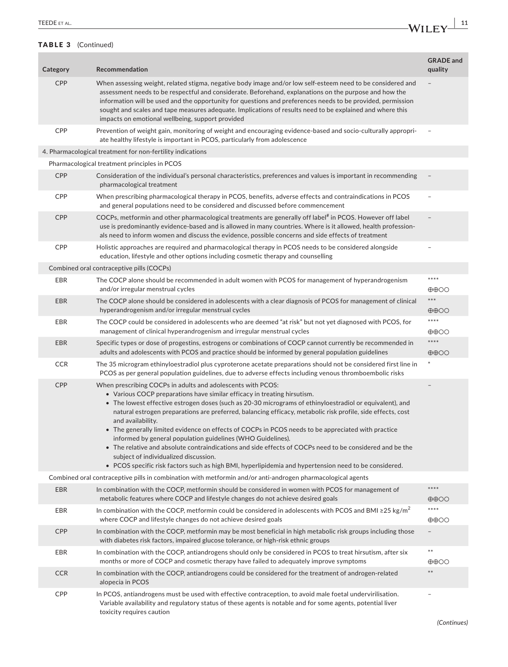| TEEDE ET AL.<br>_____ | W |  |
|-----------------------|---|--|
|                       | . |  |

| Category   | Recommendation                                                                                                                                                                                                                                                                                                                                                                                                                                                                                                                                                                                                                                                                                                                                                                                                             | <b>GRADE</b> and<br>quality               |
|------------|----------------------------------------------------------------------------------------------------------------------------------------------------------------------------------------------------------------------------------------------------------------------------------------------------------------------------------------------------------------------------------------------------------------------------------------------------------------------------------------------------------------------------------------------------------------------------------------------------------------------------------------------------------------------------------------------------------------------------------------------------------------------------------------------------------------------------|-------------------------------------------|
| <b>CPP</b> | When assessing weight, related stigma, negative body image and/or low self-esteem need to be considered and<br>assessment needs to be respectful and considerate. Beforehand, explanations on the purpose and how the<br>information will be used and the opportunity for questions and preferences needs to be provided, permission<br>sought and scales and tape measures adequate. Implications of results need to be explained and where this<br>impacts on emotional wellbeing, support provided                                                                                                                                                                                                                                                                                                                      |                                           |
| <b>CPP</b> | Prevention of weight gain, monitoring of weight and encouraging evidence-based and socio-culturally appropri-<br>ate healthy lifestyle is important in PCOS, particularly from adolescence                                                                                                                                                                                                                                                                                                                                                                                                                                                                                                                                                                                                                                 |                                           |
|            | 4. Pharmacological treatment for non-fertility indications                                                                                                                                                                                                                                                                                                                                                                                                                                                                                                                                                                                                                                                                                                                                                                 |                                           |
|            | Pharmacological treatment principles in PCOS                                                                                                                                                                                                                                                                                                                                                                                                                                                                                                                                                                                                                                                                                                                                                                               |                                           |
| <b>CPP</b> | Consideration of the individual's personal characteristics, preferences and values is important in recommending<br>pharmacological treatment                                                                                                                                                                                                                                                                                                                                                                                                                                                                                                                                                                                                                                                                               |                                           |
| <b>CPP</b> | When prescribing pharmacological therapy in PCOS, benefits, adverse effects and contraindications in PCOS<br>and general populations need to be considered and discussed before commencement                                                                                                                                                                                                                                                                                                                                                                                                                                                                                                                                                                                                                               |                                           |
| <b>CPP</b> | COCPs, metformin and other pharmacological treatments are generally off label <sup>#</sup> in PCOS. However off label<br>use is predominantly evidence-based and is allowed in many countries. Where is it allowed, health profession-<br>als need to inform women and discuss the evidence, possible concerns and side effects of treatment                                                                                                                                                                                                                                                                                                                                                                                                                                                                               |                                           |
| CPP        | Holistic approaches are required and pharmacological therapy in PCOS needs to be considered alongside<br>education, lifestyle and other options including cosmetic therapy and counselling                                                                                                                                                                                                                                                                                                                                                                                                                                                                                                                                                                                                                                 |                                           |
|            | Combined oral contraceptive pills (COCPs)                                                                                                                                                                                                                                                                                                                                                                                                                                                                                                                                                                                                                                                                                                                                                                                  |                                           |
| <b>EBR</b> | The COCP alone should be recommended in adult women with PCOS for management of hyperandrogenism<br>and/or irregular menstrual cycles                                                                                                                                                                                                                                                                                                                                                                                                                                                                                                                                                                                                                                                                                      | $****$<br>$\oplus \oplus \odot \odot$     |
| <b>EBR</b> | The COCP alone should be considered in adolescents with a clear diagnosis of PCOS for management of clinical<br>hyperandrogenism and/or irregular menstrual cycles                                                                                                                                                                                                                                                                                                                                                                                                                                                                                                                                                                                                                                                         | ***<br>$\oplus \oplus \odot \odot$        |
| EBR        | The COCP could be considered in adolescents who are deemed "at risk" but not yet diagnosed with PCOS, for<br>management of clinical hyperandrogenism and irregular menstrual cycles                                                                                                                                                                                                                                                                                                                                                                                                                                                                                                                                                                                                                                        | ****<br>$\oplus \oplus \odot \odot$       |
| <b>EBR</b> | Specific types or dose of progestins, estrogens or combinations of COCP cannot currently be recommended in<br>adults and adolescents with PCOS and practice should be informed by general population guidelines                                                                                                                                                                                                                                                                                                                                                                                                                                                                                                                                                                                                            | $****$<br>$\oplus \oplus \odot \odot$     |
| <b>CCR</b> | The 35 microgram ethinyloestradiol plus cyproterone acetate preparations should not be considered first line in<br>PCOS as per general population guidelines, due to adverse effects including venous thromboembolic risks                                                                                                                                                                                                                                                                                                                                                                                                                                                                                                                                                                                                 |                                           |
| <b>CPP</b> | When prescribing COCPs in adults and adolescents with PCOS:<br>• Various COCP preparations have similar efficacy in treating hirsutism.<br>• The lowest effective estrogen doses (such as 20-30 micrograms of ethinyloestradiol or equivalent), and<br>natural estrogen preparations are preferred, balancing efficacy, metabolic risk profile, side effects, cost<br>and availability.<br>• The generally limited evidence on effects of COCPs in PCOS needs to be appreciated with practice<br>informed by general population guidelines (WHO Guidelines).<br>• The relative and absolute contraindications and side effects of COCPs need to be considered and be the<br>subject of individualized discussion.<br>• PCOS specific risk factors such as high BMI, hyperlipidemia and hypertension need to be considered. |                                           |
|            | Combined oral contraceptive pills in combination with metformin and/or anti-androgen pharmacological agents                                                                                                                                                                                                                                                                                                                                                                                                                                                                                                                                                                                                                                                                                                                |                                           |
| <b>EBR</b> | In combination with the COCP, metformin should be considered in women with PCOS for management of<br>metabolic features where COCP and lifestyle changes do not achieve desired goals                                                                                                                                                                                                                                                                                                                                                                                                                                                                                                                                                                                                                                      | ****<br>$\oplus \oplus \odot \odot$       |
| EBR        | In combination with the COCP, metformin could be considered in adolescents with PCOS and BMI $\geq$ 25 kg/m <sup>2</sup><br>where COCP and lifestyle changes do not achieve desired goals                                                                                                                                                                                                                                                                                                                                                                                                                                                                                                                                                                                                                                  | ****<br>$\oplus \oplus \odot \odot$       |
| CPP        | In combination with the COCP, metformin may be most beneficial in high metabolic risk groups including those<br>with diabetes risk factors, impaired glucose tolerance, or high-risk ethnic groups                                                                                                                                                                                                                                                                                                                                                                                                                                                                                                                                                                                                                         |                                           |
| EBR        | In combination with the COCP, antiandrogens should only be considered in PCOS to treat hirsutism, after six<br>months or more of COCP and cosmetic therapy have failed to adequately improve symptoms                                                                                                                                                                                                                                                                                                                                                                                                                                                                                                                                                                                                                      | $\ast\ast$<br>$\oplus \oplus \odot \odot$ |
| <b>CCR</b> | In combination with the COCP, antiandrogens could be considered for the treatment of androgen-related<br>alopecia in PCOS                                                                                                                                                                                                                                                                                                                                                                                                                                                                                                                                                                                                                                                                                                  | $***$                                     |
| CPP        | In PCOS, antiandrogens must be used with effective contraception, to avoid male foetal undervirilisation.<br>Variable availability and regulatory status of these agents is notable and for some agents, potential liver<br>toxicity requires caution                                                                                                                                                                                                                                                                                                                                                                                                                                                                                                                                                                      |                                           |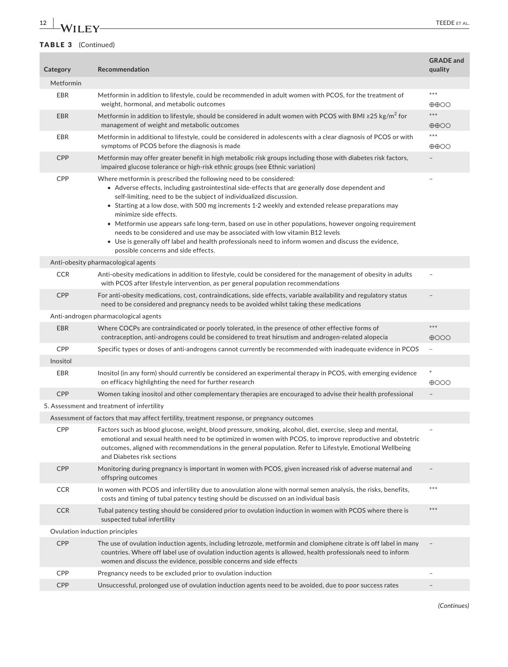# **12 WII FY FEEDE** ET AL.

| Category   | Recommendation                                                                                                                                                                                                                                                                                                                                                                                                                                                                                                                                                                                                                                                                                                        | <b>GRADE</b> and<br>quality        |
|------------|-----------------------------------------------------------------------------------------------------------------------------------------------------------------------------------------------------------------------------------------------------------------------------------------------------------------------------------------------------------------------------------------------------------------------------------------------------------------------------------------------------------------------------------------------------------------------------------------------------------------------------------------------------------------------------------------------------------------------|------------------------------------|
| Metformin  |                                                                                                                                                                                                                                                                                                                                                                                                                                                                                                                                                                                                                                                                                                                       |                                    |
| <b>EBR</b> | Metformin in addition to lifestyle, could be recommended in adult women with PCOS, for the treatment of<br>weight, hormonal, and metabolic outcomes                                                                                                                                                                                                                                                                                                                                                                                                                                                                                                                                                                   | ***<br>$\oplus \oplus \odot \odot$ |
| <b>EBR</b> | Metformin in addition to lifestyle, should be considered in adult women with PCOS with BMI $\geq$ 25 kg/m <sup>2</sup> for<br>management of weight and metabolic outcomes                                                                                                                                                                                                                                                                                                                                                                                                                                                                                                                                             | ***<br>$\oplus$ $\oplus$ OO        |
| EBR        | Metformin in additional to lifestyle, could be considered in adolescents with a clear diagnosis of PCOS or with<br>symptoms of PCOS before the diagnosis is made                                                                                                                                                                                                                                                                                                                                                                                                                                                                                                                                                      | ***<br>$\oplus$ $\oplus$ OO        |
| CPP        | Metformin may offer greater benefit in high metabolic risk groups including those with diabetes risk factors,<br>impaired glucose tolerance or high-risk ethnic groups (see Ethnic variation)                                                                                                                                                                                                                                                                                                                                                                                                                                                                                                                         |                                    |
| CPP        | Where metformin is prescribed the following need to be considered:<br>• Adverse effects, including gastrointestinal side-effects that are generally dose dependent and<br>self-limiting, need to be the subject of individualized discussion.<br>• Starting at a low dose, with 500 mg increments 1-2 weekly and extended release preparations may<br>minimize side effects.<br>• Metformin use appears safe long-term, based on use in other populations, however ongoing requirement<br>needs to be considered and use may be associated with low vitamin B12 levels<br>• Use is generally off label and health professionals need to inform women and discuss the evidence,<br>possible concerns and side effects. | ٠                                  |
|            | Anti-obesity pharmacological agents                                                                                                                                                                                                                                                                                                                                                                                                                                                                                                                                                                                                                                                                                   |                                    |
| <b>CCR</b> | Anti-obesity medications in addition to lifestyle, could be considered for the management of obesity in adults<br>with PCOS after lifestyle intervention, as per general population recommendations                                                                                                                                                                                                                                                                                                                                                                                                                                                                                                                   |                                    |
| CPP        | For anti-obesity medications, cost, contraindications, side effects, variable availability and regulatory status<br>need to be considered and pregnancy needs to be avoided whilst taking these medications                                                                                                                                                                                                                                                                                                                                                                                                                                                                                                           |                                    |
|            | Anti-androgen pharmacological agents                                                                                                                                                                                                                                                                                                                                                                                                                                                                                                                                                                                                                                                                                  |                                    |
| <b>EBR</b> | Where COCPs are contraindicated or poorly tolerated, in the presence of other effective forms of<br>contraception, anti-androgens could be considered to treat hirsutism and androgen-related alopecia                                                                                                                                                                                                                                                                                                                                                                                                                                                                                                                | $***$<br>$\bigoplus$ OOO           |
| CPP        | Specific types or doses of anti-androgens cannot currently be recommended with inadequate evidence in PCOS                                                                                                                                                                                                                                                                                                                                                                                                                                                                                                                                                                                                            | ÷                                  |
| Inositol   |                                                                                                                                                                                                                                                                                                                                                                                                                                                                                                                                                                                                                                                                                                                       |                                    |
| <b>EBR</b> | Inositol (in any form) should currently be considered an experimental therapy in PCOS, with emerging evidence<br>on efficacy highlighting the need for further research                                                                                                                                                                                                                                                                                                                                                                                                                                                                                                                                               | $\ast$<br>$\oplus$ 000             |
| <b>CPP</b> | Women taking inositol and other complementary therapies are encouraged to advise their health professional                                                                                                                                                                                                                                                                                                                                                                                                                                                                                                                                                                                                            | $\overline{\phantom{a}}$           |
|            | 5. Assessment and treatment of infertility                                                                                                                                                                                                                                                                                                                                                                                                                                                                                                                                                                                                                                                                            |                                    |
|            | Assessment of factors that may affect fertility, treatment response, or pregnancy outcomes                                                                                                                                                                                                                                                                                                                                                                                                                                                                                                                                                                                                                            |                                    |
| CPP        | Factors such as blood glucose, weight, blood pressure, smoking, alcohol, diet, exercise, sleep and mental,<br>emotional and sexual health need to be optimized in women with PCOS, to improve reproductive and obstetric<br>outcomes, aligned with recommendations in the general population. Refer to Lifestyle, Emotional Wellbeing<br>and Diabetes risk sections                                                                                                                                                                                                                                                                                                                                                   |                                    |
| CPP        | Monitoring during pregnancy is important in women with PCOS, given increased risk of adverse maternal and<br>offspring outcomes                                                                                                                                                                                                                                                                                                                                                                                                                                                                                                                                                                                       |                                    |
| <b>CCR</b> | In women with PCOS and infertility due to anovulation alone with normal semen analysis, the risks, benefits,<br>costs and timing of tubal patency testing should be discussed on an individual basis                                                                                                                                                                                                                                                                                                                                                                                                                                                                                                                  | ***                                |
| <b>CCR</b> | Tubal patency testing should be considered prior to ovulation induction in women with PCOS where there is<br>suspected tubal infertility                                                                                                                                                                                                                                                                                                                                                                                                                                                                                                                                                                              | $***$                              |
|            | Ovulation induction principles                                                                                                                                                                                                                                                                                                                                                                                                                                                                                                                                                                                                                                                                                        |                                    |
| CPP        | The use of ovulation induction agents, including letrozole, metformin and clomiphene citrate is off label in many<br>countries. Where off label use of ovulation induction agents is allowed, health professionals need to inform<br>women and discuss the evidence, possible concerns and side effects                                                                                                                                                                                                                                                                                                                                                                                                               |                                    |
| CPP        | Pregnancy needs to be excluded prior to ovulation induction                                                                                                                                                                                                                                                                                                                                                                                                                                                                                                                                                                                                                                                           |                                    |
| CPP        | Unsuccessful, prolonged use of ovulation induction agents need to be avoided, due to poor success rates                                                                                                                                                                                                                                                                                                                                                                                                                                                                                                                                                                                                               |                                    |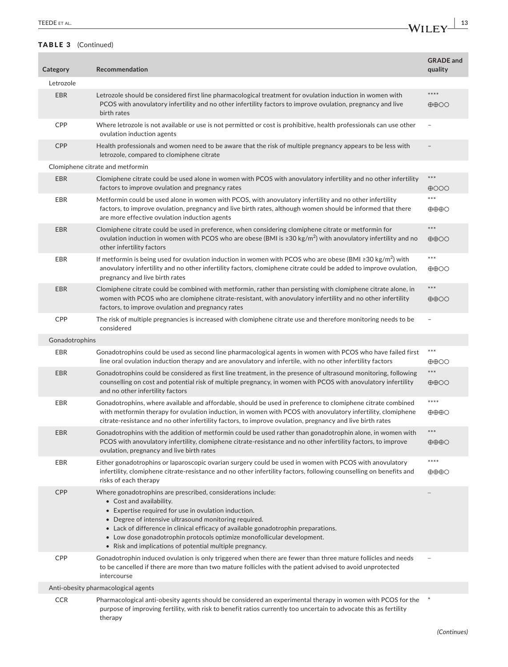| TEEDE ET AL. |   |  |
|--------------|---|--|
|              | . |  |

| Category       | Recommendation                                                                                                                                                                                                                                                                                                                                                                                                                         | <b>GRADE</b> and<br>quality            |
|----------------|----------------------------------------------------------------------------------------------------------------------------------------------------------------------------------------------------------------------------------------------------------------------------------------------------------------------------------------------------------------------------------------------------------------------------------------|----------------------------------------|
| Letrozole      |                                                                                                                                                                                                                                                                                                                                                                                                                                        |                                        |
| <b>EBR</b>     | Letrozole should be considered first line pharmacological treatment for ovulation induction in women with<br>PCOS with anovulatory infertility and no other infertility factors to improve ovulation, pregnancy and live<br>birth rates                                                                                                                                                                                                | ****<br>$\oplus$ $\oplus$ OO           |
| CPP            | Where letrozole is not available or use is not permitted or cost is prohibitive, health professionals can use other<br>ovulation induction agents                                                                                                                                                                                                                                                                                      |                                        |
| <b>CPP</b>     | Health professionals and women need to be aware that the risk of multiple pregnancy appears to be less with<br>letrozole, compared to clomiphene citrate                                                                                                                                                                                                                                                                               |                                        |
|                | Clomiphene citrate and metformin                                                                                                                                                                                                                                                                                                                                                                                                       |                                        |
| <b>EBR</b>     | Clomiphene citrate could be used alone in women with PCOS with anovulatory infertility and no other infertility<br>factors to improve ovulation and pregnancy rates                                                                                                                                                                                                                                                                    | $***$<br>$\bigoplus$ OOO               |
| EBR            | Metformin could be used alone in women with PCOS, with anovulatory infertility and no other infertility<br>factors, to improve ovulation, pregnancy and live birth rates, although women should be informed that there<br>are more effective ovulation induction agents                                                                                                                                                                | $***$<br>$\oplus \oplus \oplus \odot$  |
| <b>EBR</b>     | Clomiphene citrate could be used in preference, when considering clomiphene citrate or metformin for<br>ovulation induction in women with PCOS who are obese (BMI is $\geq 30 \text{ kg/m}^2$ ) with anovulatory infertility and no<br>other infertility factors                                                                                                                                                                       | $***$<br>$\oplus$ $\oplus$ OO          |
| EBR            | If metformin is being used for ovulation induction in women with PCOS who are obese (BMI $\geq$ 30 kg/m <sup>2</sup> ) with<br>anovulatory infertility and no other infertility factors, clomiphene citrate could be added to improve ovulation,<br>pregnancy and live birth rates                                                                                                                                                     | $***$<br>$\oplus$ $\oplus$ OO          |
| <b>EBR</b>     | Clomiphene citrate could be combined with metformin, rather than persisting with clomiphene citrate alone, in<br>women with PCOS who are clomiphene citrate-resistant, with anovulatory infertility and no other infertility<br>factors, to improve ovulation and pregnancy rates                                                                                                                                                      | $***$<br>$\oplus$ $\oplus$ OO          |
| CPP            | The risk of multiple pregnancies is increased with clomiphene citrate use and therefore monitoring needs to be<br>considered                                                                                                                                                                                                                                                                                                           |                                        |
| Gonadotrophins |                                                                                                                                                                                                                                                                                                                                                                                                                                        |                                        |
| <b>EBR</b>     | Gonadotrophins could be used as second line pharmacological agents in women with PCOS who have failed first<br>line oral ovulation induction therapy and are anovulatory and infertile, with no other infertility factors                                                                                                                                                                                                              | ***<br>$\oplus \oplus \odot \odot$     |
| <b>EBR</b>     | Gonadotrophins could be considered as first line treatment, in the presence of ultrasound monitoring, following<br>counselling on cost and potential risk of multiple pregnancy, in women with PCOS with anovulatory infertility<br>and no other infertility factors                                                                                                                                                                   | ***<br>$\oplus$ $\oplus$ OO            |
| EBR            | Gonadotrophins, where available and affordable, should be used in preference to clomiphene citrate combined<br>with metformin therapy for ovulation induction, in women with PCOS with anovulatory infertility, clomiphene<br>citrate-resistance and no other infertility factors, to improve ovulation, pregnancy and live birth rates                                                                                                | $****$<br>$\oplus \oplus \oplus \odot$ |
| <b>EBR</b>     | Gonadotrophins with the addition of metformin could be used rather than gonadotrophin alone, in women with<br>PCOS with anovulatory infertility, clomiphene citrate-resistance and no other infertility factors, to improve<br>ovulation, pregnancy and live birth rates                                                                                                                                                               | $***$<br>$\oplus \oplus \oplus \odot$  |
| EBR            | Either gonadotrophins or laparoscopic ovarian surgery could be used in women with PCOS with anovulatory<br>infertility, clomiphene citrate-resistance and no other infertility factors, following counselling on benefits and<br>risks of each therapy                                                                                                                                                                                 | ****<br>$\oplus \oplus \oplus \odot$   |
| <b>CPP</b>     | Where gonadotrophins are prescribed, considerations include:<br>• Cost and availability.<br>• Expertise required for use in ovulation induction.<br>• Degree of intensive ultrasound monitoring required.<br>• Lack of difference in clinical efficacy of available gonadotrophin preparations.<br>• Low dose gonadotrophin protocols optimize monofollicular development.<br>• Risk and implications of potential multiple pregnancy. |                                        |
| CPP            | Gonadotrophin induced ovulation is only triggered when there are fewer than three mature follicles and needs<br>to be cancelled if there are more than two mature follicles with the patient advised to avoid unprotected<br>intercourse                                                                                                                                                                                               |                                        |
|                | Anti-obesity pharmacological agents                                                                                                                                                                                                                                                                                                                                                                                                    |                                        |
| <b>CCR</b>     | Pharmacological anti-obesity agents should be considered an experimental therapy in women with PCOS for the<br>purpose of improving fertility, with risk to benefit ratios currently too uncertain to advocate this as fertility<br>therapy                                                                                                                                                                                            |                                        |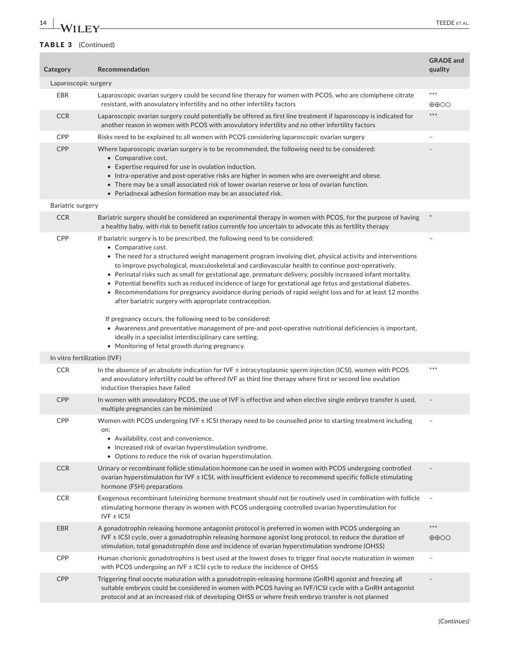# **14 |A/II FY TEEDE** ET AL.

| Category                     | Recommendation                                                                                                                                                                                                                                                                                                                                                                                                                                                                                                                                                                                                                                                                                                                                                                                                                                                                                                                                                                                                               | <b>GRADE</b> and<br>quality   |  |  |  |  |  |
|------------------------------|------------------------------------------------------------------------------------------------------------------------------------------------------------------------------------------------------------------------------------------------------------------------------------------------------------------------------------------------------------------------------------------------------------------------------------------------------------------------------------------------------------------------------------------------------------------------------------------------------------------------------------------------------------------------------------------------------------------------------------------------------------------------------------------------------------------------------------------------------------------------------------------------------------------------------------------------------------------------------------------------------------------------------|-------------------------------|--|--|--|--|--|
| Laparoscopic surgery         |                                                                                                                                                                                                                                                                                                                                                                                                                                                                                                                                                                                                                                                                                                                                                                                                                                                                                                                                                                                                                              |                               |  |  |  |  |  |
| EBR                          | Laparoscopic ovarian surgery could be second line therapy for women with PCOS, who are clomiphene citrate<br>resistant, with anovulatory infertility and no other infertility factors                                                                                                                                                                                                                                                                                                                                                                                                                                                                                                                                                                                                                                                                                                                                                                                                                                        | $***$<br>$\oplus$ $\oplus$ OO |  |  |  |  |  |
| <b>CCR</b>                   | Laparoscopic ovarian surgery could potentially be offered as first line treatment if laparoscopy is indicated for<br>another reason in women with PCOS with anovulatory infertility and no other infertility factors                                                                                                                                                                                                                                                                                                                                                                                                                                                                                                                                                                                                                                                                                                                                                                                                         | $***$                         |  |  |  |  |  |
| <b>CPP</b>                   | Risks need to be explained to all women with PCOS considering laparoscopic ovarian surgery                                                                                                                                                                                                                                                                                                                                                                                                                                                                                                                                                                                                                                                                                                                                                                                                                                                                                                                                   |                               |  |  |  |  |  |
| CPP                          | Where laparoscopic ovarian surgery is to be recommended, the following need to be considered:<br>• Comparative cost.<br>• Expertise required for use in ovulation induction.<br>• Intra-operative and post-operative risks are higher in women who are overweight and obese.<br>• There may be a small associated risk of lower ovarian reserve or loss of ovarian function.<br>• Periadnexal adhesion formation may be an associated risk.                                                                                                                                                                                                                                                                                                                                                                                                                                                                                                                                                                                  |                               |  |  |  |  |  |
| Bariatric surgery            |                                                                                                                                                                                                                                                                                                                                                                                                                                                                                                                                                                                                                                                                                                                                                                                                                                                                                                                                                                                                                              |                               |  |  |  |  |  |
| <b>CCR</b>                   | Bariatric surgery should be considered an experimental therapy in women with PCOS, for the purpose of having<br>a healthy baby, with risk to benefit ratios currently too uncertain to advocate this as fertility therapy                                                                                                                                                                                                                                                                                                                                                                                                                                                                                                                                                                                                                                                                                                                                                                                                    |                               |  |  |  |  |  |
| <b>CPP</b>                   | If bariatric surgery is to be prescribed, the following need to be considered:<br>• Comparative cost.<br>$\bullet$ The need for a structured weight management program involving diet, physical activity and interventions<br>to improve psychological, musculoskeletal and cardiovascular health to continue post-operatively.<br>• Perinatal risks such as small for gestational age, premature delivery, possibly increased infant mortality.<br>• Potential benefits such as reduced incidence of large for gestational age fetus and gestational diabetes.<br>• Recommendations for pregnancy avoidance during periods of rapid weight loss and for at least 12 months<br>after bariatric surgery with appropriate contraception.<br>If pregnancy occurs, the following need to be considered:<br>• Awareness and preventative management of pre-and post-operative nutritional deficiencies is important,<br>ideally in a specialist interdisciplinary care setting.<br>• Monitoring of fetal growth during pregnancy. |                               |  |  |  |  |  |
| In vitro fertilization (IVF) |                                                                                                                                                                                                                                                                                                                                                                                                                                                                                                                                                                                                                                                                                                                                                                                                                                                                                                                                                                                                                              |                               |  |  |  |  |  |
| <b>CCR</b>                   | In the absence of an absolute indication for IVF ± intracytoplasmic sperm injection (ICSI), women with PCOS<br>and anovulatory infertility could be offered IVF as third line therapy where first or second line ovulation<br>induction therapies have failed                                                                                                                                                                                                                                                                                                                                                                                                                                                                                                                                                                                                                                                                                                                                                                | $***$                         |  |  |  |  |  |
| <b>CPP</b>                   | In women with anovulatory PCOS, the use of IVF is effective and when elective single embryo transfer is used,<br>multiple pregnancies can be minimized                                                                                                                                                                                                                                                                                                                                                                                                                                                                                                                                                                                                                                                                                                                                                                                                                                                                       |                               |  |  |  |  |  |
| <b>CPP</b>                   | Women with PCOS undergoing IVF ± ICSI therapy need to be counselled prior to starting treatment including<br>on:<br>• Availability, cost and convenience.<br>• Increased risk of ovarian hyperstimulation syndrome.<br>• Options to reduce the risk of ovarian hyperstimulation.                                                                                                                                                                                                                                                                                                                                                                                                                                                                                                                                                                                                                                                                                                                                             | $\overline{\phantom{m}}$      |  |  |  |  |  |
| <b>CCR</b>                   | Urinary or recombinant follicle stimulation hormone can be used in women with PCOS undergoing controlled<br>ovarian hyperstimulation for IVF ± ICSI, with insufficient evidence to recommend specific follicle stimulating<br>hormone (FSH) preparations                                                                                                                                                                                                                                                                                                                                                                                                                                                                                                                                                                                                                                                                                                                                                                     |                               |  |  |  |  |  |
| <b>CCR</b>                   | Exogenous recombinant luteinizing hormone treatment should not be routinely used in combination with follicle<br>stimulating hormone therapy in women with PCOS undergoing controlled ovarian hyperstimulation for<br>$IVF \pm ICSI$                                                                                                                                                                                                                                                                                                                                                                                                                                                                                                                                                                                                                                                                                                                                                                                         | $\overline{\phantom{a}}$      |  |  |  |  |  |
| <b>EBR</b>                   | A gonadotrophin releasing hormone antagonist protocol is preferred in women with PCOS undergoing an<br>IVF $\pm$ ICSI cycle, over a gonadotrophin releasing hormone agonist long protocol, to reduce the duration of<br>stimulation, total gonadotrophin dose and incidence of ovarian hyperstimulation syndrome (OHSS)                                                                                                                                                                                                                                                                                                                                                                                                                                                                                                                                                                                                                                                                                                      | $***$<br>$\oplus$ $\oplus$ OO |  |  |  |  |  |
| CPP                          | Human chorionic gonadotrophins is best used at the lowest doses to trigger final oocyte maturation in women<br>with PCOS undergoing an IVF $\pm$ ICSI cycle to reduce the incidence of OHSS                                                                                                                                                                                                                                                                                                                                                                                                                                                                                                                                                                                                                                                                                                                                                                                                                                  |                               |  |  |  |  |  |
| <b>CPP</b>                   | Triggering final oocyte maturation with a gonadotropin-releasing hormone (GnRH) agonist and freezing all<br>suitable embryos could be considered in women with PCOS having an IVF/ICSI cycle with a GnRH antagonist<br>protocol and at an increased risk of developing OHSS or where fresh embryo transfer is not planned                                                                                                                                                                                                                                                                                                                                                                                                                                                                                                                                                                                                                                                                                                    |                               |  |  |  |  |  |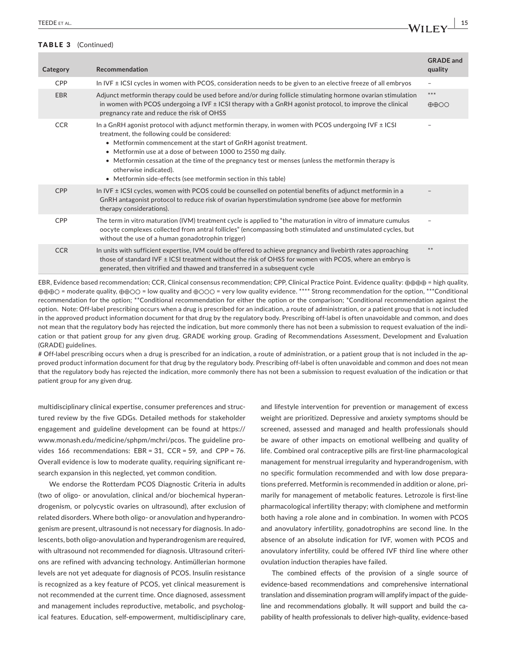|  | Category   | Recommendation                                                                                                                                                                                                                                                                                                                                                                                                                                                                                          | <b>GRADE</b> and<br>quality        |
|--|------------|---------------------------------------------------------------------------------------------------------------------------------------------------------------------------------------------------------------------------------------------------------------------------------------------------------------------------------------------------------------------------------------------------------------------------------------------------------------------------------------------------------|------------------------------------|
|  | <b>CPP</b> | In IVF $\pm$ ICSI cycles in women with PCOS, consideration needs to be given to an elective freeze of all embryos                                                                                                                                                                                                                                                                                                                                                                                       | $\overline{\phantom{a}}$           |
|  | <b>EBR</b> | Adjunct metformin therapy could be used before and/or during follicle stimulating hormone ovarian stimulation<br>in women with PCOS undergoing a IVF $\pm$ ICSI therapy with a GnRH agonist protocol, to improve the clinical<br>pregnancy rate and reduce the risk of OHSS                                                                                                                                                                                                                             | ***<br>$\oplus \oplus \odot \odot$ |
|  | <b>CCR</b> | In a GnRH agonist protocol with adjunct metformin therapy, in women with PCOS undergoing IVF $\pm$ ICSI<br>treatment, the following could be considered:<br>Metformin commencement at the start of GnRH agonist treatment.<br>$\bullet$<br>• Metformin use at a dose of between 1000 to 2550 mg daily.<br>• Metformin cessation at the time of the pregnancy test or menses (unless the metformin therapy is<br>otherwise indicated).<br>• Metformin side-effects (see metformin section in this table) | -                                  |
|  | <b>CPP</b> | In IVF ± ICSI cycles, women with PCOS could be counselled on potential benefits of adjunct metformin in a<br>GnRH antagonist protocol to reduce risk of ovarian hyperstimulation syndrome (see above for metformin<br>therapy considerations).                                                                                                                                                                                                                                                          |                                    |
|  | CPP        | The term in vitro maturation (IVM) treatment cycle is applied to "the maturation in vitro of immature cumulus<br>oocyte complexes collected from antral follicles" (encompassing both stimulated and unstimulated cycles, but<br>without the use of a human gonadotrophin trigger)                                                                                                                                                                                                                      |                                    |
|  | <b>CCR</b> | In units with sufficient expertise, IVM could be offered to achieve pregnancy and livebirth rates approaching<br>those of standard IVF ± ICSI treatment without the risk of OHSS for women with PCOS, where an embryo is<br>generated, then vitrified and thawed and transferred in a subsequent cycle                                                                                                                                                                                                  | **                                 |

EBR, Evidence based recommendation; CCR, Clinical consensus recommendation; CPP, Clinical Practice Point. Evidence quality: ⊕⊕⊕⊕ = high quality, ⊕⊕⊕○ = moderate quality, ⊕⊕○○ = low quality and ⊕○○○ = very low quality evidence. \*\*\*\* Strong recommendation for the option, \*\*\*Conditional recommendation for the option; \*\*Conditional recommendation for either the option or the comparison; \*Conditional recommendation against the option. Note: Off-label prescribing occurs when a drug is prescribed for an indication, a route of administration, or a patient group that is not included in the approved product information document for that drug by the regulatory body. Prescribing off-label is often unavoidable and common, and does not mean that the regulatory body has rejected the indication, but more commonly there has not been a submission to request evaluation of the indication or that patient group for any given drug. GRADE working group. Grading of Recommendations Assessment, Development and Evaluation (GRADE) guidelines.

# Off-label prescribing occurs when a drug is prescribed for an indication, a route of administration, or a patient group that is not included in the approved product information document for that drug by the regulatory body. Prescribing off-label is often unavoidable and common and does not mean that the regulatory body has rejected the indication, more commonly there has not been a submission to request evaluation of the indication or that patient group for any given drug.

multidisciplinary clinical expertise, consumer preferences and structured review by the five GDGs. Detailed methods for stakeholder engagement and guideline development can be found at [https://](https://www.monash.edu/medicine/sphpm/mchri/pcos) [www.monash.edu/medicine/sphpm/mchri/pcos.](https://www.monash.edu/medicine/sphpm/mchri/pcos) The guideline provides 166 recommendations: EBR = 31, CCR = 59, and CPP = 76. Overall evidence is low to moderate quality, requiring significant research expansion in this neglected, yet common condition.

We endorse the Rotterdam PCOS Diagnostic Criteria in adults (two of oligo- or anovulation, clinical and/or biochemical hyperandrogenism, or polycystic ovaries on ultrasound), after exclusion of related disorders. Where both oligo- or anovulation and hyperandrogenism are present, ultrasound is not necessary for diagnosis. In adolescents, both oligo-anovulation and hyperandrogenism are required, with ultrasound not recommended for diagnosis. Ultrasound criterions are refined with advancing technology. Antimüllerian hormone levels are not yet adequate for diagnosis of PCOS. Insulin resistance is recognized as a key feature of PCOS, yet clinical measurement is not recommended at the current time. Once diagnosed, assessment and management includes reproductive, metabolic, and psychological features. Education, self-empowerment, multidisciplinary care, and lifestyle intervention for prevention or management of excess weight are prioritized. Depressive and anxiety symptoms should be screened, assessed and managed and health professionals should be aware of other impacts on emotional wellbeing and quality of life. Combined oral contraceptive pills are first-line pharmacological management for menstrual irregularity and hyperandrogenism, with no specific formulation recommended and with low dose preparations preferred. Metformin is recommended in addition or alone, primarily for management of metabolic features. Letrozole is first-line pharmacological infertility therapy; with clomiphene and metformin both having a role alone and in combination. In women with PCOS and anovulatory infertility, gonadotrophins are second line. In the absence of an absolute indication for IVF, women with PCOS and anovulatory infertility, could be offered IVF third line where other ovulation induction therapies have failed.

The combined effects of the provision of a single source of evidence-based recommendations and comprehensive international translation and dissemination program will amplify impact of the guideline and recommendations globally. It will support and build the capability of health professionals to deliver high-quality, evidence-based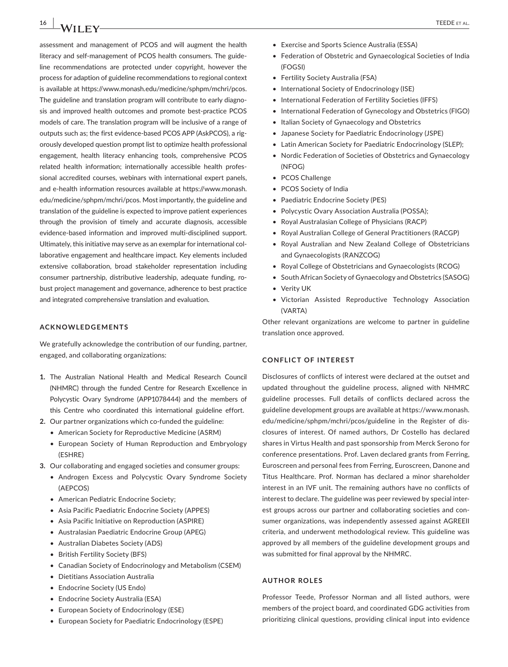**16 | A/II FY TEEDE** ET AL.

assessment and management of PCOS and will augment the health literacy and self-management of PCOS health consumers. The guideline recommendations are protected under copyright, however the process for adaption of guideline recommendations to regional context is available at [https://www.monash.edu/medicine/sphpm/mchri/pcos.](https://www.monash.edu/medicine/sphpm/mchri/pcos) The guideline and translation program will contribute to early diagnosis and improved health outcomes and promote best-practice PCOS models of care. The translation program will be inclusive of a range of outputs such as; the first evidence-based PCOS APP (AskPCOS), a rigorously developed question prompt list to optimize health professional engagement, health literacy enhancing tools, comprehensive PCOS related health information; internationally accessible health professional accredited courses, webinars with international expert panels, and e-health information resources available at [https://www.monash.](https://www.monash.edu/medicine/sphpm/mchri/pcos) [edu/medicine/sphpm/mchri/pcos.](https://www.monash.edu/medicine/sphpm/mchri/pcos) Most importantly, the guideline and translation of the guideline is expected to improve patient experiences through the provision of timely and accurate diagnosis, accessible evidence-based information and improved multi-disciplined support. Ultimately, this initiative may serve as an exemplar for international collaborative engagement and healthcare impact. Key elements included extensive collaboration, broad stakeholder representation including consumer partnership, distributive leadership, adequate funding, robust project management and governance, adherence to best practice and integrated comprehensive translation and evaluation.

#### **ACKNOWLEDGEMENTS**

We gratefully acknowledge the contribution of our funding, partner, engaged, and collaborating organizations:

- **1.** The Australian National Health and Medical Research Council (NHMRC) through the funded Centre for Research Excellence in Polycystic Ovary Syndrome (APP1078444) and the members of this Centre who coordinated this international guideline effort.
- **2.** Our partner organizations which co-funded the guideline:
	- American Society for Reproductive Medicine (ASRM)
	- European Society of Human Reproduction and Embryology (ESHRE)
- **3.** Our collaborating and engaged societies and consumer groups:
	- Androgen Excess and Polycystic Ovary Syndrome Society (AEPCOS)
	- American Pediatric Endocrine Society;
	- Asia Pacific Paediatric Endocrine Society (APPES)
	- • Asia Pacific Initiative on Reproduction (ASPIRE)
	- • Australasian Paediatric Endocrine Group (APEG)
	- Australian Diabetes Society (ADS)
	- • British Fertility Society (BFS)
	- Canadian Society of Endocrinology and Metabolism (CSEM)
	- • Dietitians Association Australia
	- Endocrine Society (US Endo)
	- Endocrine Society Australia (ESA)
	- • European Society of Endocrinology (ESE)
	- European Society for Paediatric Endocrinology (ESPE)
- • Exercise and Sports Science Australia (ESSA)
- Federation of Obstetric and Gynaecological Societies of India (FOGSI)
- • Fertility Society Australia (FSA)
- International Society of Endocrinology (ISE)
- International Federation of Fertility Societies (IFFS)
- International Federation of Gynecology and Obstetrics (FIGO)
- Italian Society of Gynaecology and Obstetrics
- Japanese Society for Paediatric Endocrinology (JSPE)
- Latin American Society for Paediatric Endocrinology (SLEP);
- Nordic Federation of Societies of Obstetrics and Gynaecology (NFOG)
- PCOS Challenge
- • PCOS Society of India
- Paediatric Endocrine Society (PES)
- Polycystic Ovary Association Australia (POSSA);
- Royal Australasian College of Physicians (RACP)
- Royal Australian College of General Practitioners (RACGP)
- • Royal Australian and New Zealand College of Obstetricians and Gynaecologists (RANZCOG)
- Royal College of Obstetricians and Gynaecologists (RCOG)
- South African Society of Gynaecology and Obstetrics (SASOG)
- Verity UK
- • Victorian Assisted Reproductive Technology Association (VARTA)

Other relevant organizations are welcome to partner in guideline translation once approved.

#### **CONFLICT OF INTEREST**

Disclosures of conflicts of interest were declared at the outset and updated throughout the guideline process, aligned with NHMRC guideline processes. Full details of conflicts declared across the guideline development groups are available at [https://www.monash.](https://www.monash.edu/medicine/sphpm/mchri/pcos/guideline) [edu/medicine/sphpm/mchri/pcos/guideline](https://www.monash.edu/medicine/sphpm/mchri/pcos/guideline) in the Register of disclosures of interest. Of named authors, Dr Costello has declared shares in Virtus Health and past sponsorship from Merck Serono for conference presentations. Prof. Laven declared grants from Ferring, Euroscreen and personal fees from Ferring, Euroscreen, Danone and Titus Healthcare. Prof. Norman has declared a minor shareholder interest in an IVF unit. The remaining authors have no conflicts of interest to declare. The guideline was peer reviewed by special interest groups across our partner and collaborating societies and consumer organizations, was independently assessed against AGREEII criteria, and underwent methodological review. This guideline was approved by all members of the guideline development groups and was submitted for final approval by the NHMRC.

#### **AUTHOR ROLES**

Professor Teede, Professor Norman and all listed authors, were members of the project board, and coordinated GDG activities from prioritizing clinical questions, providing clinical input into evidence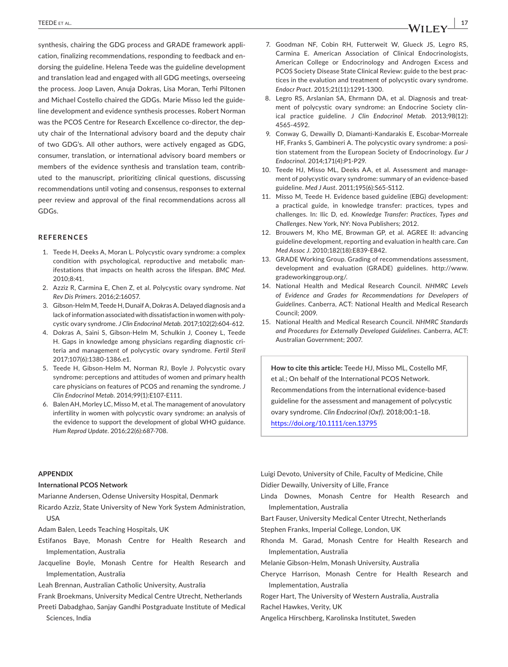synthesis, chairing the GDG process and GRADE framework application, finalizing recommendations, responding to feedback and endorsing the guideline. Helena Teede was the guideline development and translation lead and engaged with all GDG meetings, overseeing the process. Joop Laven, Anuja Dokras, Lisa Moran, Terhi Piltonen and Michael Costello chaired the GDGs. Marie Misso led the guideline development and evidence synthesis processes. Robert Norman was the PCOS Centre for Research Excellence co-director, the deputy chair of the International advisory board and the deputy chair of two GDG's. All other authors, were actively engaged as GDG, consumer, translation, or international advisory board members or members of the evidence synthesis and translation team, contributed to the manuscript, prioritizing clinical questions, discussing recommendations until voting and consensus, responses to external peer review and approval of the final recommendations across all GDGs.

#### **REFERENCES**

- 1. Teede H, Deeks A, Moran L. Polycystic ovary syndrome: a complex condition with psychological, reproductive and metabolic manifestations that impacts on health across the lifespan. *BMC Med*. 2010;8:41.
- 2. Azziz R, Carmina E, Chen Z, et al. Polycystic ovary syndrome. *Nat Rev Dis Primers*. 2016;2:16057.
- 3. Gibson-Helm M, Teede H, Dunaif A, Dokras A. Delayed diagnosis and a lack of information associated with dissatisfaction in women with polycystic ovary syndrome. *J Clin Endocrinol Metab*. 2017;102(2):604‐612.
- 4. Dokras A, Saini S, Gibson-Helm M, Schulkin J, Cooney L, Teede H. Gaps in knowledge among physicians regarding diagnostic criteria and management of polycystic ovary syndrome. *Fertil Steril* 2017;107(6):1380‐1386.e1.
- 5. Teede H, Gibson-Helm M, Norman RJ, Boyle J. Polycystic ovary syndrome: perceptions and attitudes of women and primary health care physicians on features of PCOS and renaming the syndrome. *J Clin Endocrinol Metab*. 2014;99(1):E107‐E111.
- 6. Balen AH, Morley LC, Misso M, et al. The management of anovulatory infertility in women with polycystic ovary syndrome: an analysis of the evidence to support the development of global WHO guidance. *Hum Reprod Update*. 2016;22(6):687‐708.
- 7. Goodman NF, Cobin RH, Futterweit W, Glueck JS, Legro RS, Carmina E. American Association of Clinical Endocrinologists, American College or Endocrinology and Androgen Excess and PCOS Society Disease State Clinical Review: guide to the best practices in the evalution and treatment of polycystic ovary syndrome. *Endocr Pract*. 2015;21(11):1291‐1300.
- 8. Legro RS, Arslanian SA, Ehrmann DA, et al. Diagnosis and treatment of polycystic ovary syndrome: an Endocrine Society clinical practice guideline. *J Clin Endocrinol Metab*. 2013;98(12): 4565‐4592.
- 9. Conway G, Dewailly D, Diamanti-Kandarakis E, Escobar-Morreale HF, Franks S, Gambineri A. The polycystic ovary syndrome: a position statement from the European Society of Endocrinology. *Eur J Endocrinol*. 2014;171(4):P1‐P29.
- 10. Teede HJ, Misso ML, Deeks AA, et al. Assessment and management of polycystic ovary syndrome: summary of an evidence-based guideline. *Med J Aust*. 2011;195(6):S65‐S112.
- 11. Misso M, Teede H. Evidence based guideline (EBG) development: a practical guide, in knowledge transfer: practices, types and challenges. In: Ilic D, ed. *Knowledge Transfer: Practices, Types and Challenges*. New York, NY: Nova Publishers; 2012.
- 12. Brouwers M, Kho ME, Browman GP, et al. AGREE II: advancing guideline development, reporting and evaluation in health care. *Can Med Assoc J*. 2010;182(18):E839‐E842.
- 13. GRADE Working Group. Grading of recommendations assessment, development and evaluation (GRADE) guidelines. [http://www.](http://www.gradeworkinggroup.org/) [gradeworkinggroup.org/.](http://www.gradeworkinggroup.org/)
- 14. National Health and Medical Research Council. *NHMRC Levels of Evidence and Grades for Recommendations for Developers of Guidelines*. Canberra, ACT: National Health and Medical Research Council; 2009.
- 15. National Health and Medical Research Council. *NHMRC Standards and Procedures for Externally Developed Guidelines*. Canberra, ACT: Australian Government; 2007.

**How to cite this article:** Teede HJ, Misso ML, Costello MF, et al.; On behalf of the International PCOS Network. Recommendations from the international evidence-based guideline for the assessment and management of polycystic ovary syndrome. *Clin Endocrinol (Oxf)*. 2018;00:1–18. <https://doi.org/10.1111/cen.13795>

#### **APPENDIX**

#### **International PCOS Network**

Marianne Andersen, Odense University Hospital, Denmark

- Ricardo Azziz, State University of New York System Administration, USA
- Adam Balen, Leeds Teaching Hospitals, UK
- Estifanos Baye, Monash Centre for Health Research and Implementation, Australia
- Jacqueline Boyle, Monash Centre for Health Research and Implementation, Australia

Leah Brennan, Australian Catholic University, Australia

- Frank Broekmans, University Medical Centre Utrecht, Netherlands
- Preeti Dabadghao, Sanjay Gandhi Postgraduate Institute of Medical Sciences, India

Luigi Devoto, University of Chile, Faculty of Medicine, Chile Didier Dewailly, University of Lille, France

- Linda Downes, Monash Centre for Health Research and Implementation, Australia
- Bart Fauser, University Medical Center Utrecht, Netherlands
- Stephen Franks, Imperial College, London, UK
- Rhonda M. Garad, Monash Centre for Health Research and Implementation, Australia
- Melanie Gibson-Helm, Monash University, Australia
- Cheryce Harrison, Monash Centre for Health Research and Implementation, Australia
- Roger Hart, The University of Western Australia, Australia
- Rachel Hawkes, Verity, UK
- Angelica Hirschberg, Karolinska Institutet, Sweden